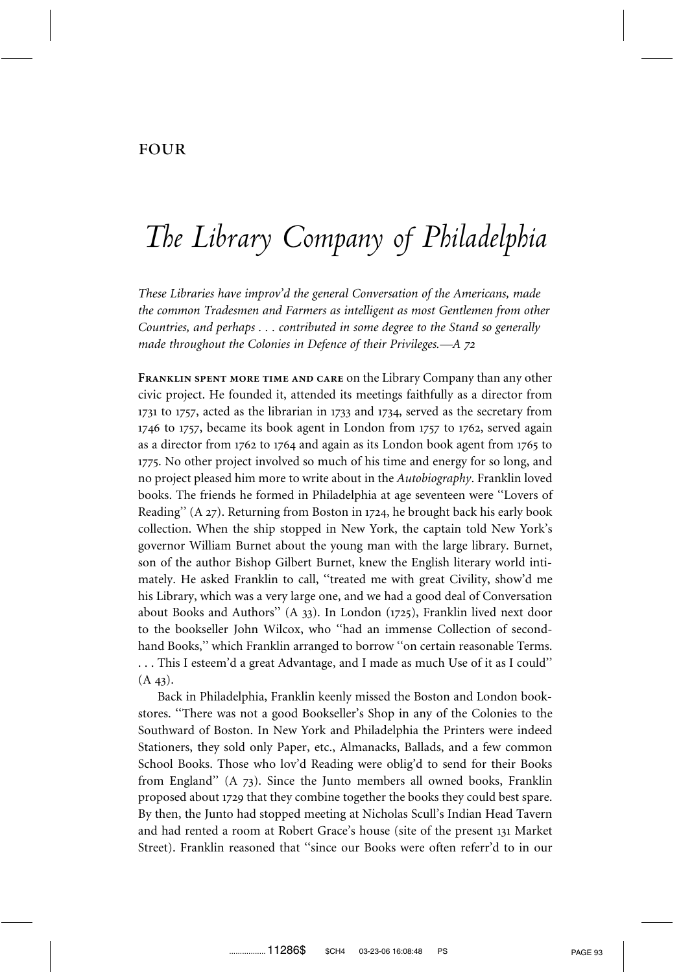# *The Library Company of Philadelphia*

*These Libraries have improv'd the general Conversation of the Americans, made the common Tradesmen and Farmers as intelligent as most Gentlemen from other Countries, and perhaps . . . contributed in some degree to the Stand so generally made throughout the Colonies in Defence of their Privileges.—A 72*

**Franklin spent more time and care** on the Library Company than any other civic project. He founded it, attended its meetings faithfully as a director from 1731 to 1757, acted as the librarian in 1733 and 1734, served as the secretary from 1746 to 1757, became its book agent in London from 1757 to 1762, served again as a director from 1762 to 1764 and again as its London book agent from 1765 to 1775. No other project involved so much of his time and energy for so long, and no project pleased him more to write about in the *Autobiography*. Franklin loved books. The friends he formed in Philadelphia at age seventeen were ''Lovers of Reading'' (A 27). Returning from Boston in 1724, he brought back his early book collection. When the ship stopped in New York, the captain told New York's governor William Burnet about the young man with the large library. Burnet, son of the author Bishop Gilbert Burnet, knew the English literary world intimately. He asked Franklin to call, ''treated me with great Civility, show'd me his Library, which was a very large one, and we had a good deal of Conversation about Books and Authors'' (A 33). In London (1725), Franklin lived next door to the bookseller John Wilcox, who ''had an immense Collection of secondhand Books,'' which Franklin arranged to borrow ''on certain reasonable Terms. . . . This I esteem'd a great Advantage, and I made as much Use of it as I could''  $(A, 43)$ .

Back in Philadelphia, Franklin keenly missed the Boston and London bookstores. ''There was not a good Bookseller's Shop in any of the Colonies to the Southward of Boston. In New York and Philadelphia the Printers were indeed Stationers, they sold only Paper, etc., Almanacks, Ballads, and a few common School Books. Those who lov'd Reading were oblig'd to send for their Books from England'' (A 73). Since the Junto members all owned books, Franklin proposed about 1729 that they combine together the books they could best spare. By then, the Junto had stopped meeting at Nicholas Scull's Indian Head Tavern and had rented a room at Robert Grace's house (site of the present 131 Market Street). Franklin reasoned that ''since our Books were often referr'd to in our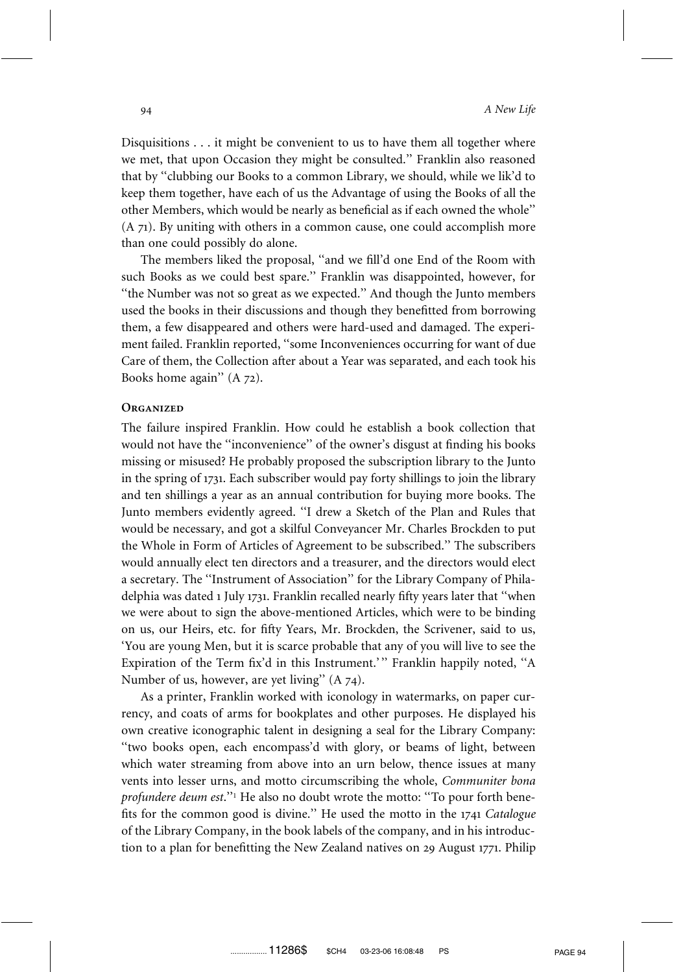Disquisitions . . . it might be convenient to us to have them all together where we met, that upon Occasion they might be consulted.'' Franklin also reasoned that by ''clubbing our Books to a common Library, we should, while we lik'd to keep them together, have each of us the Advantage of using the Books of all the other Members, which would be nearly as beneficial as if each owned the whole'' (A 71). By uniting with others in a common cause, one could accomplish more than one could possibly do alone.

The members liked the proposal, ''and we fill'd one End of the Room with such Books as we could best spare.'' Franklin was disappointed, however, for "the Number was not so great as we expected." And though the Junto members used the books in their discussions and though they benefitted from borrowing them, a few disappeared and others were hard-used and damaged. The experiment failed. Franklin reported, ''some Inconveniences occurring for want of due Care of them, the Collection after about a Year was separated, and each took his Books home again'' (A 72).

## **Organized**

The failure inspired Franklin. How could he establish a book collection that would not have the ''inconvenience'' of the owner's disgust at finding his books missing or misused? He probably proposed the subscription library to the Junto in the spring of 1731. Each subscriber would pay forty shillings to join the library and ten shillings a year as an annual contribution for buying more books. The Junto members evidently agreed. ''I drew a Sketch of the Plan and Rules that would be necessary, and got a skilful Conveyancer Mr. Charles Brockden to put the Whole in Form of Articles of Agreement to be subscribed.'' The subscribers would annually elect ten directors and a treasurer, and the directors would elect a secretary. The ''Instrument of Association'' for the Library Company of Philadelphia was dated 1 July 1731. Franklin recalled nearly fifty years later that ''when we were about to sign the above-mentioned Articles, which were to be binding on us, our Heirs, etc. for fifty Years, Mr. Brockden, the Scrivener, said to us, 'You are young Men, but it is scarce probable that any of you will live to see the Expiration of the Term fix'd in this Instrument.'" Franklin happily noted, "A Number of us, however, are yet living'' (A 74).

As a printer, Franklin worked with iconology in watermarks, on paper currency, and coats of arms for bookplates and other purposes. He displayed his own creative iconographic talent in designing a seal for the Library Company: "two books open, each encompass'd with glory, or beams of light, between which water streaming from above into an urn below, thence issues at many vents into lesser urns, and motto circumscribing the whole, *Communiter bona profundere deum est*.''1 He also no doubt wrote the motto: ''To pour forth benefits for the common good is divine.'' He used the motto in the 1741 *Catalogue* of the Library Company, in the book labels of the company, and in his introduction to a plan for benefitting the New Zealand natives on 29 August 1771. Philip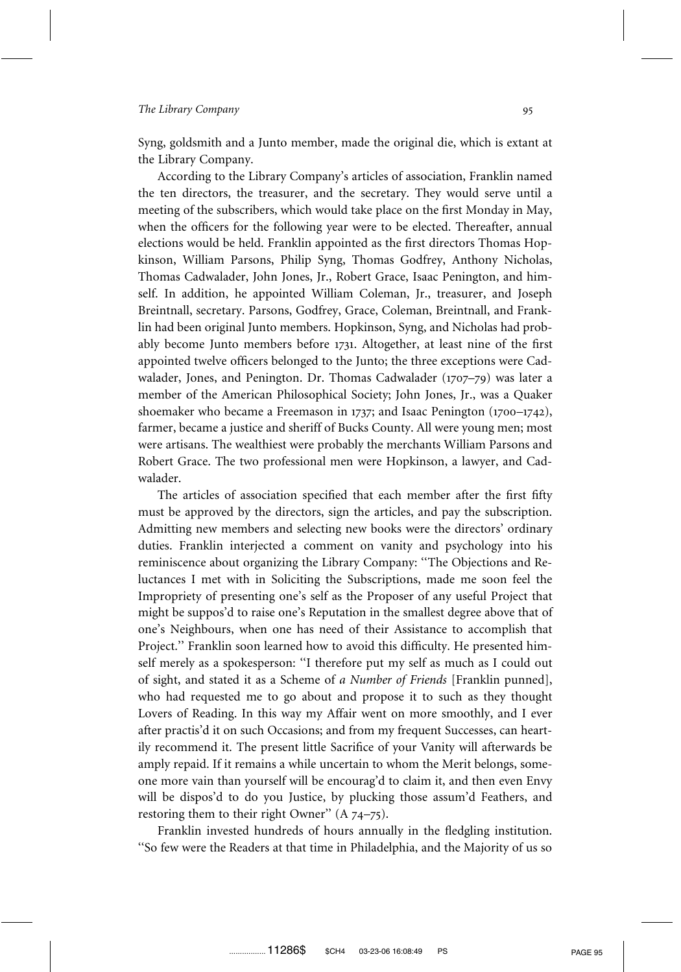Syng, goldsmith and a Junto member, made the original die, which is extant at the Library Company.

According to the Library Company's articles of association, Franklin named the ten directors, the treasurer, and the secretary. They would serve until a meeting of the subscribers, which would take place on the first Monday in May, when the officers for the following year were to be elected. Thereafter, annual elections would be held. Franklin appointed as the first directors Thomas Hopkinson, William Parsons, Philip Syng, Thomas Godfrey, Anthony Nicholas, Thomas Cadwalader, John Jones, Jr., Robert Grace, Isaac Penington, and himself. In addition, he appointed William Coleman, Jr., treasurer, and Joseph Breintnall, secretary. Parsons, Godfrey, Grace, Coleman, Breintnall, and Franklin had been original Junto members. Hopkinson, Syng, and Nicholas had probably become Junto members before 1731. Altogether, at least nine of the first appointed twelve officers belonged to the Junto; the three exceptions were Cadwalader, Jones, and Penington. Dr. Thomas Cadwalader (1707–79) was later a member of the American Philosophical Society; John Jones, Jr., was a Quaker shoemaker who became a Freemason in 1737; and Isaac Penington (1700–1742), farmer, became a justice and sheriff of Bucks County. All were young men; most were artisans. The wealthiest were probably the merchants William Parsons and Robert Grace. The two professional men were Hopkinson, a lawyer, and Cadwalader.

The articles of association specified that each member after the first fifty must be approved by the directors, sign the articles, and pay the subscription. Admitting new members and selecting new books were the directors' ordinary duties. Franklin interjected a comment on vanity and psychology into his reminiscence about organizing the Library Company: ''The Objections and Reluctances I met with in Soliciting the Subscriptions, made me soon feel the Impropriety of presenting one's self as the Proposer of any useful Project that might be suppos'd to raise one's Reputation in the smallest degree above that of one's Neighbours, when one has need of their Assistance to accomplish that Project.'' Franklin soon learned how to avoid this difficulty. He presented himself merely as a spokesperson: ''I therefore put my self as much as I could out of sight, and stated it as a Scheme of *a Number of Friends* [Franklin punned], who had requested me to go about and propose it to such as they thought Lovers of Reading. In this way my Affair went on more smoothly, and I ever after practis'd it on such Occasions; and from my frequent Successes, can heartily recommend it. The present little Sacrifice of your Vanity will afterwards be amply repaid. If it remains a while uncertain to whom the Merit belongs, someone more vain than yourself will be encourag'd to claim it, and then even Envy will be dispos'd to do you Justice, by plucking those assum'd Feathers, and restoring them to their right Owner'' (A 74–75).

Franklin invested hundreds of hours annually in the fledgling institution. ''So few were the Readers at that time in Philadelphia, and the Majority of us so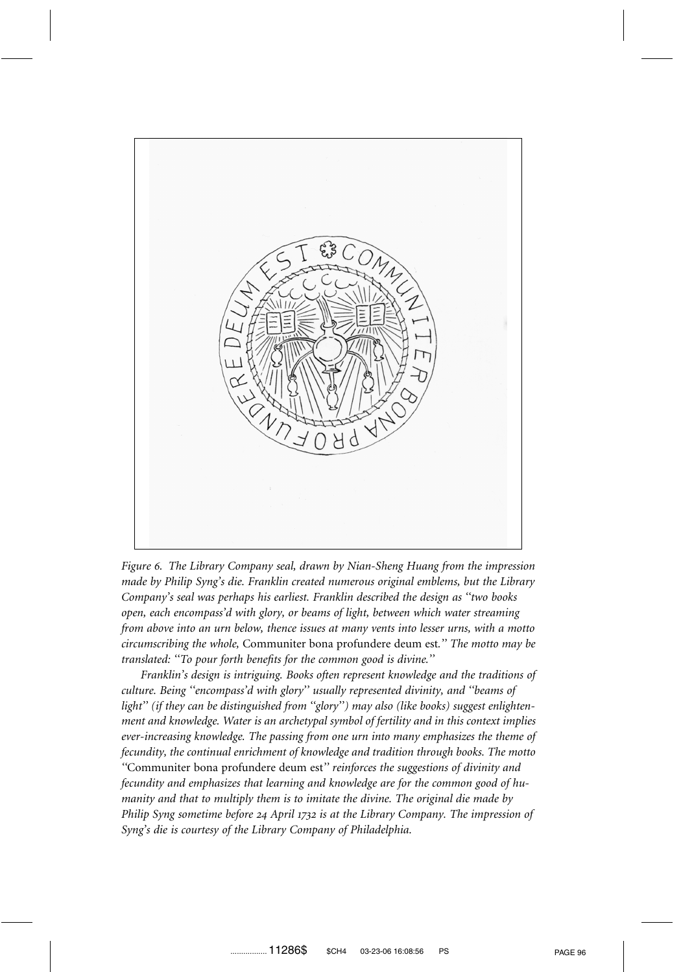

*Figure 6. The Library Company seal, drawn by Nian-Sheng Huang from the impression made by Philip Syng's die. Franklin created numerous original emblems, but the Library Company's seal was perhaps his earliest. Franklin described the design as ''two books open, each encompass'd with glory, or beams of light, between which water streaming from above into an urn below, thence issues at many vents into lesser urns, with a motto circumscribing the whole,* Communiter bona profundere deum est*.'' The motto may be translated: ''To pour forth benefits for the common good is divine.''*

*Franklin's design is intriguing. Books often represent knowledge and the traditions of culture. Being ''encompass'd with glory'' usually represented divinity, and ''beams of light'' (if they can be distinguished from ''glory'') may also (like books) suggest enlightenment and knowledge. Water is an archetypal symbol of fertility and in this context implies ever-increasing knowledge. The passing from one urn into many emphasizes the theme of fecundity, the continual enrichment of knowledge and tradition through books. The motto ''*Communiter bona profundere deum est*'' reinforces the suggestions of divinity and fecundity and emphasizes that learning and knowledge are for the common good of humanity and that to multiply them is to imitate the divine. The original die made by Philip Syng sometime before 24 April 1732 is at the Library Company. The impression of Syng's die is courtesy of the Library Company of Philadelphia.*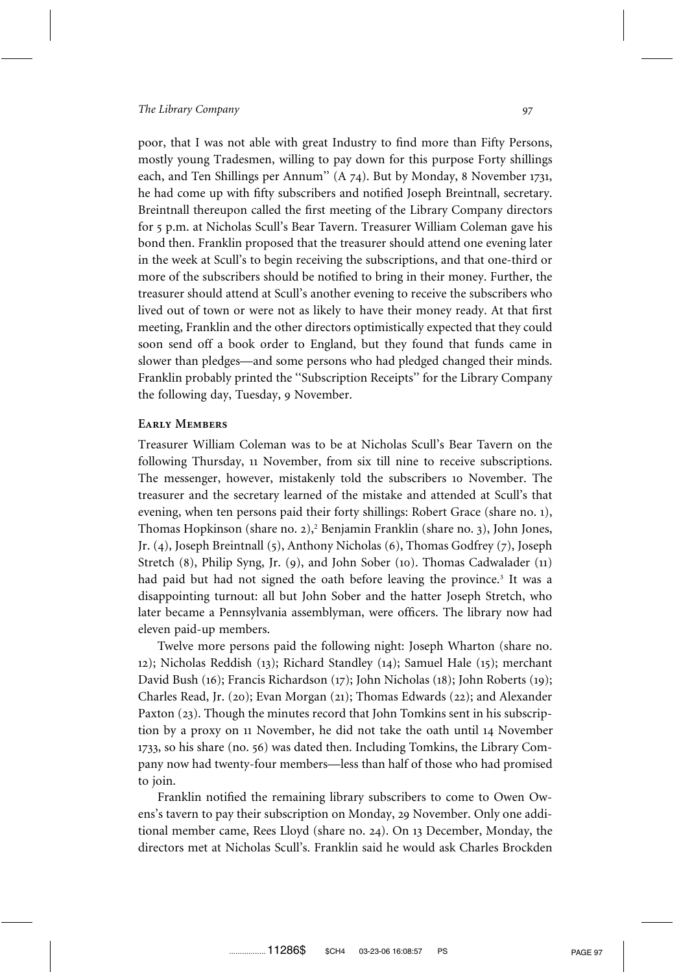poor, that I was not able with great Industry to find more than Fifty Persons, mostly young Tradesmen, willing to pay down for this purpose Forty shillings each, and Ten Shillings per Annum'' (A 74). But by Monday, 8 November 1731, he had come up with fifty subscribers and notified Joseph Breintnall, secretary. Breintnall thereupon called the first meeting of the Library Company directors for 5 p.m. at Nicholas Scull's Bear Tavern. Treasurer William Coleman gave his bond then. Franklin proposed that the treasurer should attend one evening later in the week at Scull's to begin receiving the subscriptions, and that one-third or more of the subscribers should be notified to bring in their money. Further, the treasurer should attend at Scull's another evening to receive the subscribers who lived out of town or were not as likely to have their money ready. At that first meeting, Franklin and the other directors optimistically expected that they could soon send off a book order to England, but they found that funds came in slower than pledges—and some persons who had pledged changed their minds. Franklin probably printed the ''Subscription Receipts'' for the Library Company the following day, Tuesday, 9 November.

# **Early Members**

Treasurer William Coleman was to be at Nicholas Scull's Bear Tavern on the following Thursday, 11 November, from six till nine to receive subscriptions. The messenger, however, mistakenly told the subscribers 10 November. The treasurer and the secretary learned of the mistake and attended at Scull's that evening, when ten persons paid their forty shillings: Robert Grace (share no. 1), Thomas Hopkinson (share no. 2),<sup>2</sup> Benjamin Franklin (share no. 3), John Jones, Jr. (4), Joseph Breintnall (5), Anthony Nicholas (6), Thomas Godfrey (7), Joseph Stretch (8), Philip Syng, Jr. (9), and John Sober (10). Thomas Cadwalader (11) had paid but had not signed the oath before leaving the province.<sup>3</sup> It was a disappointing turnout: all but John Sober and the hatter Joseph Stretch, who later became a Pennsylvania assemblyman, were officers. The library now had eleven paid-up members.

Twelve more persons paid the following night: Joseph Wharton (share no. 12); Nicholas Reddish (13); Richard Standley (14); Samuel Hale (15); merchant David Bush (16); Francis Richardson (17); John Nicholas (18); John Roberts (19); Charles Read, Jr. (20); Evan Morgan (21); Thomas Edwards (22); and Alexander Paxton (23). Though the minutes record that John Tomkins sent in his subscription by a proxy on 11 November, he did not take the oath until 14 November 1733, so his share (no. 56) was dated then. Including Tomkins, the Library Company now had twenty-four members—less than half of those who had promised to join.

Franklin notified the remaining library subscribers to come to Owen Owens's tavern to pay their subscription on Monday, 29 November. Only one additional member came, Rees Lloyd (share no. 24). On 13 December, Monday, the directors met at Nicholas Scull's. Franklin said he would ask Charles Brockden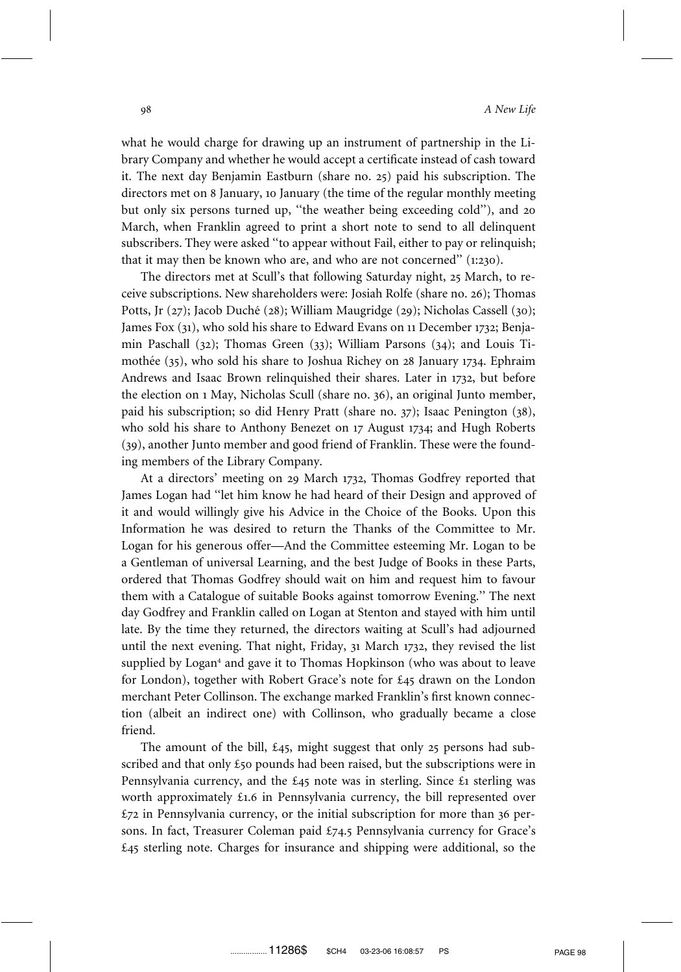what he would charge for drawing up an instrument of partnership in the Library Company and whether he would accept a certificate instead of cash toward it. The next day Benjamin Eastburn (share no. 25) paid his subscription. The directors met on 8 January, 10 January (the time of the regular monthly meeting but only six persons turned up, ''the weather being exceeding cold''), and 20 March, when Franklin agreed to print a short note to send to all delinquent subscribers. They were asked ''to appear without Fail, either to pay or relinquish; that it may then be known who are, and who are not concerned'' (1:230).

The directors met at Scull's that following Saturday night, 25 March, to receive subscriptions. New shareholders were: Josiah Rolfe (share no. 26); Thomas Potts, Jr (27); Jacob Duché (28); William Maugridge (29); Nicholas Cassell (30); James Fox (31), who sold his share to Edward Evans on 11 December 1732; Benjamin Paschall (32); Thomas Green (33); William Parsons (34); and Louis Timothée (35), who sold his share to Joshua Richey on 28 January 1734. Ephraim Andrews and Isaac Brown relinquished their shares. Later in 1732, but before the election on 1 May, Nicholas Scull (share no. 36), an original Junto member, paid his subscription; so did Henry Pratt (share no. 37); Isaac Penington (38), who sold his share to Anthony Benezet on 17 August 1734; and Hugh Roberts (39), another Junto member and good friend of Franklin. These were the founding members of the Library Company.

At a directors' meeting on 29 March 1732, Thomas Godfrey reported that James Logan had ''let him know he had heard of their Design and approved of it and would willingly give his Advice in the Choice of the Books. Upon this Information he was desired to return the Thanks of the Committee to Mr. Logan for his generous offer—And the Committee esteeming Mr. Logan to be a Gentleman of universal Learning, and the best Judge of Books in these Parts, ordered that Thomas Godfrey should wait on him and request him to favour them with a Catalogue of suitable Books against tomorrow Evening.'' The next day Godfrey and Franklin called on Logan at Stenton and stayed with him until late. By the time they returned, the directors waiting at Scull's had adjourned until the next evening. That night, Friday, 31 March 1732, they revised the list supplied by Logan<sup>4</sup> and gave it to Thomas Hopkinson (who was about to leave for London), together with Robert Grace's note for £45 drawn on the London merchant Peter Collinson. The exchange marked Franklin's first known connection (albeit an indirect one) with Collinson, who gradually became a close friend.

The amount of the bill,  $\pounds$ 45, might suggest that only 25 persons had subscribed and that only  $\epsilon$ 50 pounds had been raised, but the subscriptions were in Pennsylvania currency, and the  $\epsilon_{45}$  note was in sterling. Since  $\epsilon_1$  sterling was worth approximately £1.6 in Pennsylvania currency, the bill represented over  $£72$  in Pennsylvania currency, or the initial subscription for more than 36 persons. In fact, Treasurer Coleman paid £74.5 Pennsylvania currency for Grace's £45 sterling note. Charges for insurance and shipping were additional, so the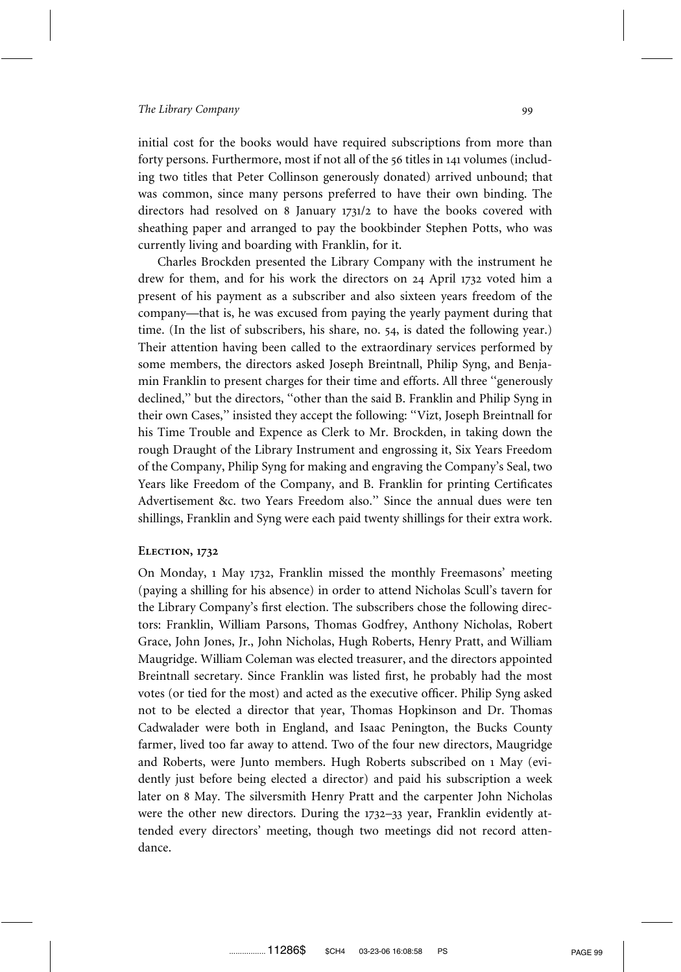initial cost for the books would have required subscriptions from more than forty persons. Furthermore, most if not all of the 56 titles in 141 volumes (including two titles that Peter Collinson generously donated) arrived unbound; that was common, since many persons preferred to have their own binding. The directors had resolved on 8 January 1731/2 to have the books covered with sheathing paper and arranged to pay the bookbinder Stephen Potts, who was currently living and boarding with Franklin, for it.

Charles Brockden presented the Library Company with the instrument he drew for them, and for his work the directors on 24 April 1732 voted him a present of his payment as a subscriber and also sixteen years freedom of the company—that is, he was excused from paying the yearly payment during that time. (In the list of subscribers, his share, no. 54, is dated the following year.) Their attention having been called to the extraordinary services performed by some members, the directors asked Joseph Breintnall, Philip Syng, and Benjamin Franklin to present charges for their time and efforts. All three ''generously declined,'' but the directors, ''other than the said B. Franklin and Philip Syng in their own Cases,'' insisted they accept the following: ''Vizt, Joseph Breintnall for his Time Trouble and Expence as Clerk to Mr. Brockden, in taking down the rough Draught of the Library Instrument and engrossing it, Six Years Freedom of the Company, Philip Syng for making and engraving the Company's Seal, two Years like Freedom of the Company, and B. Franklin for printing Certificates Advertisement &c. two Years Freedom also.'' Since the annual dues were ten shillings, Franklin and Syng were each paid twenty shillings for their extra work.

# **Election, 1732**

On Monday, 1 May 1732, Franklin missed the monthly Freemasons' meeting (paying a shilling for his absence) in order to attend Nicholas Scull's tavern for the Library Company's first election. The subscribers chose the following directors: Franklin, William Parsons, Thomas Godfrey, Anthony Nicholas, Robert Grace, John Jones, Jr., John Nicholas, Hugh Roberts, Henry Pratt, and William Maugridge. William Coleman was elected treasurer, and the directors appointed Breintnall secretary. Since Franklin was listed first, he probably had the most votes (or tied for the most) and acted as the executive officer. Philip Syng asked not to be elected a director that year, Thomas Hopkinson and Dr. Thomas Cadwalader were both in England, and Isaac Penington, the Bucks County farmer, lived too far away to attend. Two of the four new directors, Maugridge and Roberts, were Junto members. Hugh Roberts subscribed on 1 May (evidently just before being elected a director) and paid his subscription a week later on 8 May. The silversmith Henry Pratt and the carpenter John Nicholas were the other new directors. During the 1732–33 year, Franklin evidently attended every directors' meeting, though two meetings did not record attendance.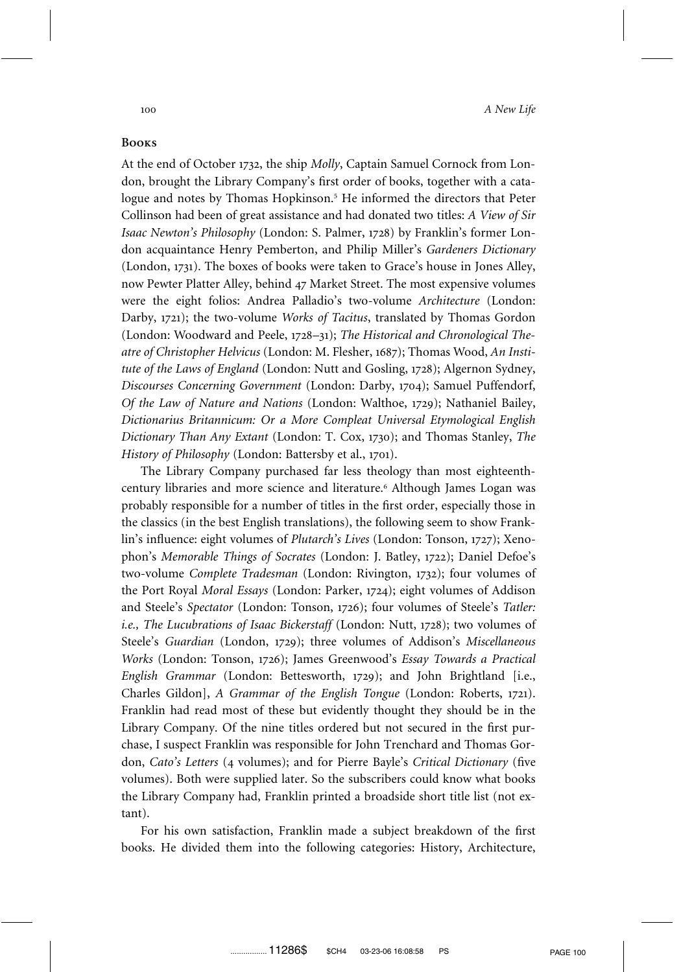## **Books**

At the end of October 1732, the ship *Molly*, Captain Samuel Cornock from London, brought the Library Company's first order of books, together with a catalogue and notes by Thomas Hopkinson.<sup>5</sup> He informed the directors that Peter Collinson had been of great assistance and had donated two titles: *A View of Sir Isaac Newton's Philosophy* (London: S. Palmer, 1728) by Franklin's former London acquaintance Henry Pemberton, and Philip Miller's *Gardeners Dictionary* (London, 1731). The boxes of books were taken to Grace's house in Jones Alley, now Pewter Platter Alley, behind 47 Market Street. The most expensive volumes were the eight folios: Andrea Palladio's two-volume *Architecture* (London: Darby, 1721); the two-volume *Works of Tacitus*, translated by Thomas Gordon (London: Woodward and Peele, 1728–31); *The Historical and Chronological Theatre of Christopher Helvicus* (London: M. Flesher, 1687); Thomas Wood, *An Institute of the Laws of England* (London: Nutt and Gosling, 1728); Algernon Sydney, *Discourses Concerning Government* (London: Darby, 1704); Samuel Puffendorf, *Of the Law of Nature and Nations* (London: Walthoe, 1729); Nathaniel Bailey, *Dictionarius Britannicum: Or a More Compleat Universal Etymological English Dictionary Than Any Extant* (London: T. Cox, 1730); and Thomas Stanley, *The History of Philosophy* (London: Battersby et al., 1701).

The Library Company purchased far less theology than most eighteenthcentury libraries and more science and literature.6 Although James Logan was probably responsible for a number of titles in the first order, especially those in the classics (in the best English translations), the following seem to show Franklin's influence: eight volumes of *Plutarch's Lives* (London: Tonson, 1727); Xenophon's *Memorable Things of Socrates* (London: J. Batley, 1722); Daniel Defoe's two-volume *Complete Tradesman* (London: Rivington, 1732); four volumes of the Port Royal *Moral Essays* (London: Parker, 1724); eight volumes of Addison and Steele's *Spectator* (London: Tonson, 1726); four volumes of Steele's *Tatler: i.e., The Lucubrations of Isaac Bickerstaff* (London: Nutt, 1728); two volumes of Steele's *Guardian* (London, 1729); three volumes of Addison's *Miscellaneous Works* (London: Tonson, 1726); James Greenwood's *Essay Towards a Practical English Grammar* (London: Bettesworth, 1729); and John Brightland [i.e., Charles Gildon], *A Grammar of the English Tongue* (London: Roberts, 1721). Franklin had read most of these but evidently thought they should be in the Library Company. Of the nine titles ordered but not secured in the first purchase, I suspect Franklin was responsible for John Trenchard and Thomas Gordon, *Cato's Letters* (4 volumes); and for Pierre Bayle's *Critical Dictionary* (five volumes). Both were supplied later. So the subscribers could know what books the Library Company had, Franklin printed a broadside short title list (not extant).

For his own satisfaction, Franklin made a subject breakdown of the first books. He divided them into the following categories: History, Architecture,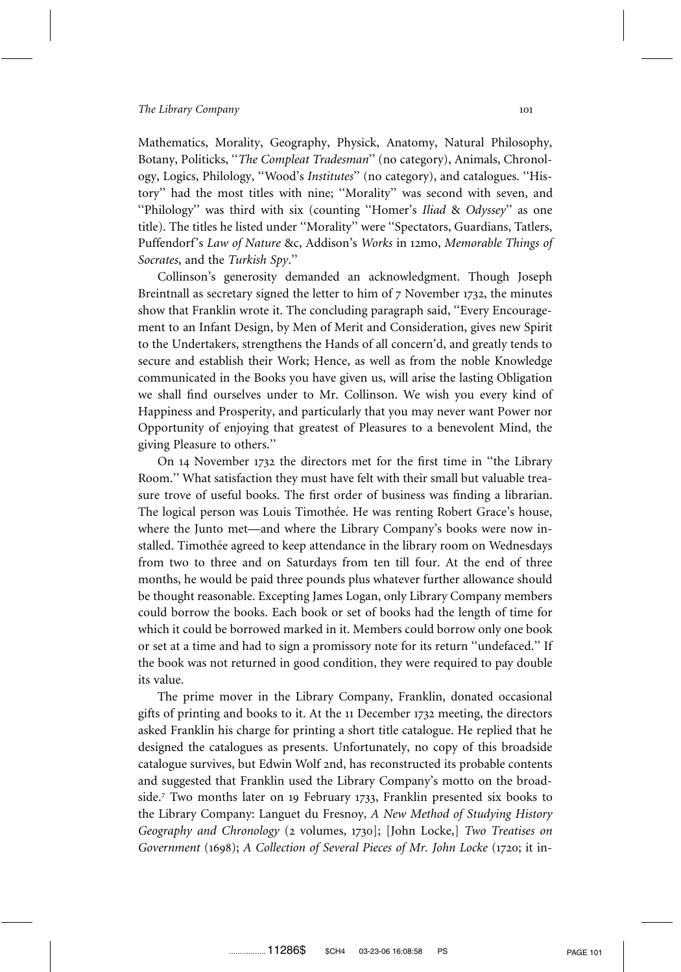Mathematics, Morality, Geography, Physick, Anatomy, Natural Philosophy, Botany, Politicks, ''*The Compleat Tradesman*'' (no category), Animals, Chronology, Logics, Philology, ''Wood's *Institutes*'' (no category), and catalogues. ''History'' had the most titles with nine; ''Morality'' was second with seven, and ''Philology'' was third with six (counting ''Homer's *Iliad* & *Odyssey*'' as one title). The titles he listed under ''Morality'' were ''Spectators, Guardians, Tatlers, Puffendorf's *Law of Nature* &c, Addison's *Works* in 12mo, *Memorable Things of Socrates*, and the *Turkish Spy*.''

Collinson's generosity demanded an acknowledgment. Though Joseph Breintnall as secretary signed the letter to him of 7 November 1732, the minutes show that Franklin wrote it. The concluding paragraph said, ''Every Encouragement to an Infant Design, by Men of Merit and Consideration, gives new Spirit to the Undertakers, strengthens the Hands of all concern'd, and greatly tends to secure and establish their Work; Hence, as well as from the noble Knowledge communicated in the Books you have given us, will arise the lasting Obligation we shall find ourselves under to Mr. Collinson. We wish you every kind of Happiness and Prosperity, and particularly that you may never want Power nor Opportunity of enjoying that greatest of Pleasures to a benevolent Mind, the giving Pleasure to others.''

On 14 November 1732 the directors met for the first time in ''the Library Room.'' What satisfaction they must have felt with their small but valuable treasure trove of useful books. The first order of business was finding a librarian. The logical person was Louis Timothée. He was renting Robert Grace's house, where the Junto met—and where the Library Company's books were now installed. Timothée agreed to keep attendance in the library room on Wednesdays from two to three and on Saturdays from ten till four. At the end of three months, he would be paid three pounds plus whatever further allowance should be thought reasonable. Excepting James Logan, only Library Company members could borrow the books. Each book or set of books had the length of time for which it could be borrowed marked in it. Members could borrow only one book or set at a time and had to sign a promissory note for its return ''undefaced.'' If the book was not returned in good condition, they were required to pay double its value.

The prime mover in the Library Company, Franklin, donated occasional gifts of printing and books to it. At the 11 December 1732 meeting, the directors asked Franklin his charge for printing a short title catalogue. He replied that he designed the catalogues as presents. Unfortunately, no copy of this broadside catalogue survives, but Edwin Wolf 2nd, has reconstructed its probable contents and suggested that Franklin used the Library Company's motto on the broadside.7 Two months later on 19 February 1733, Franklin presented six books to the Library Company: Languet du Fresnoy, *A New Method of Studying History Geography and Chronology* (2 volumes, 1730]; [John Locke,] *Two Treatises on Government* (1698); *A Collection of Several Pieces of Mr. John Locke* (1720; it in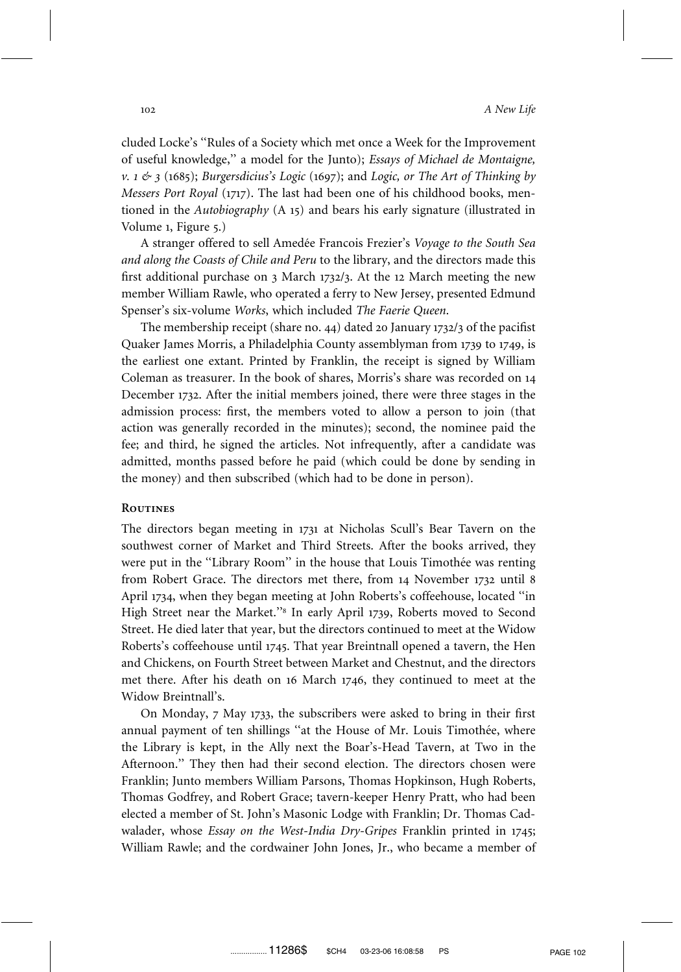cluded Locke's ''Rules of a Society which met once a Week for the Improvement of useful knowledge,'' a model for the Junto); *Essays of Michael de Montaigne, v. 1 & 3* (1685); *Burgersdicius's Logic* (1697); and *Logic, or The Art of Thinking by Messers Port Royal* (1717). The last had been one of his childhood books, mentioned in the *Autobiography* (A 15) and bears his early signature (illustrated in Volume 1, Figure 5.)

A stranger offered to sell Amedée Francois Frezier's *Voyage to the South Sea and along the Coasts of Chile and Peru* to the library, and the directors made this first additional purchase on 3 March 1732/3. At the 12 March meeting the new member William Rawle, who operated a ferry to New Jersey, presented Edmund Spenser's six-volume *Works*, which included *The Faerie Queen*.

The membership receipt (share no. 44) dated 20 January 1732/3 of the pacifist Quaker James Morris, a Philadelphia County assemblyman from 1739 to 1749, is the earliest one extant. Printed by Franklin, the receipt is signed by William Coleman as treasurer. In the book of shares, Morris's share was recorded on 14 December 1732. After the initial members joined, there were three stages in the admission process: first, the members voted to allow a person to join (that action was generally recorded in the minutes); second, the nominee paid the fee; and third, he signed the articles. Not infrequently, after a candidate was admitted, months passed before he paid (which could be done by sending in the money) and then subscribed (which had to be done in person).

## **Routines**

The directors began meeting in 1731 at Nicholas Scull's Bear Tavern on the southwest corner of Market and Third Streets. After the books arrived, they were put in the "Library Room" in the house that Louis Timothée was renting from Robert Grace. The directors met there, from 14 November 1732 until 8 April 1734, when they began meeting at John Roberts's coffeehouse, located ''in High Street near the Market."<sup>8</sup> In early April 1739, Roberts moved to Second Street. He died later that year, but the directors continued to meet at the Widow Roberts's coffeehouse until 1745. That year Breintnall opened a tavern, the Hen and Chickens, on Fourth Street between Market and Chestnut, and the directors met there. After his death on 16 March 1746, they continued to meet at the Widow Breintnall's.

On Monday, 7 May 1733, the subscribers were asked to bring in their first annual payment of ten shillings "at the House of Mr. Louis Timothée, where the Library is kept, in the Ally next the Boar's-Head Tavern, at Two in the Afternoon.'' They then had their second election. The directors chosen were Franklin; Junto members William Parsons, Thomas Hopkinson, Hugh Roberts, Thomas Godfrey, and Robert Grace; tavern-keeper Henry Pratt, who had been elected a member of St. John's Masonic Lodge with Franklin; Dr. Thomas Cadwalader, whose *Essay on the West-India Dry-Gripes* Franklin printed in 1745; William Rawle; and the cordwainer John Jones, Jr., who became a member of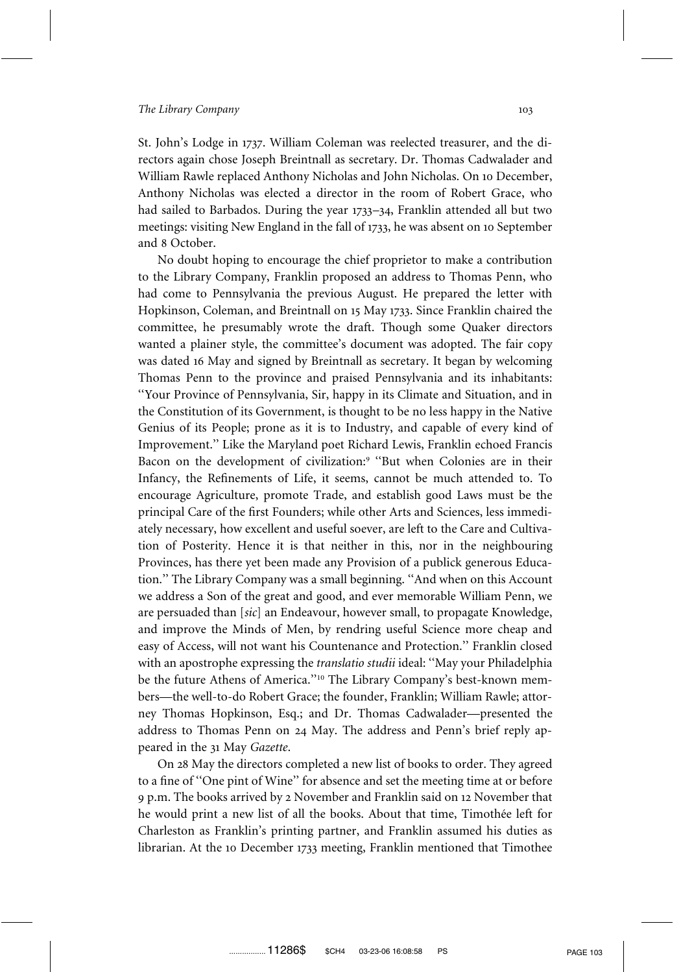St. John's Lodge in 1737. William Coleman was reelected treasurer, and the directors again chose Joseph Breintnall as secretary. Dr. Thomas Cadwalader and William Rawle replaced Anthony Nicholas and John Nicholas. On 10 December, Anthony Nicholas was elected a director in the room of Robert Grace, who had sailed to Barbados. During the year 1733–34, Franklin attended all but two meetings: visiting New England in the fall of 1733, he was absent on 10 September and 8 October.

No doubt hoping to encourage the chief proprietor to make a contribution to the Library Company, Franklin proposed an address to Thomas Penn, who had come to Pennsylvania the previous August. He prepared the letter with Hopkinson, Coleman, and Breintnall on 15 May 1733. Since Franklin chaired the committee, he presumably wrote the draft. Though some Quaker directors wanted a plainer style, the committee's document was adopted. The fair copy was dated 16 May and signed by Breintnall as secretary. It began by welcoming Thomas Penn to the province and praised Pennsylvania and its inhabitants: ''Your Province of Pennsylvania, Sir, happy in its Climate and Situation, and in the Constitution of its Government, is thought to be no less happy in the Native Genius of its People; prone as it is to Industry, and capable of every kind of Improvement.'' Like the Maryland poet Richard Lewis, Franklin echoed Francis Bacon on the development of civilization:<sup>9</sup> "But when Colonies are in their Infancy, the Refinements of Life, it seems, cannot be much attended to. To encourage Agriculture, promote Trade, and establish good Laws must be the principal Care of the first Founders; while other Arts and Sciences, less immediately necessary, how excellent and useful soever, are left to the Care and Cultivation of Posterity. Hence it is that neither in this, nor in the neighbouring Provinces, has there yet been made any Provision of a publick generous Education.'' The Library Company was a small beginning. ''And when on this Account we address a Son of the great and good, and ever memorable William Penn, we are persuaded than [*sic*] an Endeavour, however small, to propagate Knowledge, and improve the Minds of Men, by rendring useful Science more cheap and easy of Access, will not want his Countenance and Protection.'' Franklin closed with an apostrophe expressing the *translatio studii* ideal: ''May your Philadelphia be the future Athens of America.''10 The Library Company's best-known members—the well-to-do Robert Grace; the founder, Franklin; William Rawle; attorney Thomas Hopkinson, Esq.; and Dr. Thomas Cadwalader—presented the address to Thomas Penn on 24 May. The address and Penn's brief reply appeared in the 31 May *Gazette*.

On 28 May the directors completed a new list of books to order. They agreed to a fine of ''One pint of Wine'' for absence and set the meeting time at or before 9 p.m. The books arrived by 2 November and Franklin said on 12 November that he would print a new list of all the books. About that time, Timothée left for Charleston as Franklin's printing partner, and Franklin assumed his duties as librarian. At the 10 December 1733 meeting, Franklin mentioned that Timothee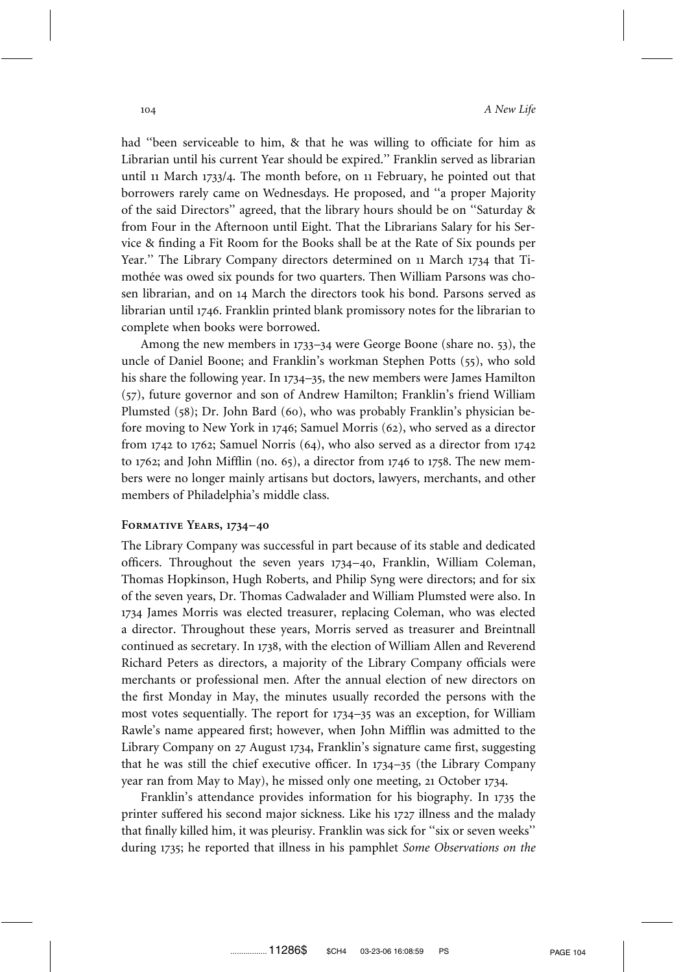had ''been serviceable to him, & that he was willing to officiate for him as Librarian until his current Year should be expired.'' Franklin served as librarian until 11 March 1733/4. The month before, on 11 February, he pointed out that borrowers rarely came on Wednesdays. He proposed, and ''a proper Majority of the said Directors'' agreed, that the library hours should be on ''Saturday & from Four in the Afternoon until Eight. That the Librarians Salary for his Service & finding a Fit Room for the Books shall be at the Rate of Six pounds per Year.'' The Library Company directors determined on 11 March 1734 that Timothée was owed six pounds for two quarters. Then William Parsons was chosen librarian, and on 14 March the directors took his bond. Parsons served as librarian until 1746. Franklin printed blank promissory notes for the librarian to complete when books were borrowed.

Among the new members in 1733–34 were George Boone (share no. 53), the uncle of Daniel Boone; and Franklin's workman Stephen Potts (55), who sold his share the following year. In 1734–35, the new members were James Hamilton (57), future governor and son of Andrew Hamilton; Franklin's friend William Plumsted (58); Dr. John Bard (60), who was probably Franklin's physician before moving to New York in 1746; Samuel Morris (62), who served as a director from 1742 to 1762; Samuel Norris (64), who also served as a director from 1742 to 1762; and John Mifflin (no. 65), a director from 1746 to 1758. The new members were no longer mainly artisans but doctors, lawyers, merchants, and other members of Philadelphia's middle class.

## **Formative Years, 1734–40**

The Library Company was successful in part because of its stable and dedicated officers. Throughout the seven years 1734–40, Franklin, William Coleman, Thomas Hopkinson, Hugh Roberts, and Philip Syng were directors; and for six of the seven years, Dr. Thomas Cadwalader and William Plumsted were also. In 1734 James Morris was elected treasurer, replacing Coleman, who was elected a director. Throughout these years, Morris served as treasurer and Breintnall continued as secretary. In 1738, with the election of William Allen and Reverend Richard Peters as directors, a majority of the Library Company officials were merchants or professional men. After the annual election of new directors on the first Monday in May, the minutes usually recorded the persons with the most votes sequentially. The report for 1734–35 was an exception, for William Rawle's name appeared first; however, when John Mifflin was admitted to the Library Company on 27 August 1734, Franklin's signature came first, suggesting that he was still the chief executive officer. In 1734–35 (the Library Company year ran from May to May), he missed only one meeting, 21 October 1734.

Franklin's attendance provides information for his biography. In 1735 the printer suffered his second major sickness. Like his 1727 illness and the malady that finally killed him, it was pleurisy. Franklin was sick for ''six or seven weeks'' during 1735; he reported that illness in his pamphlet *Some Observations on the*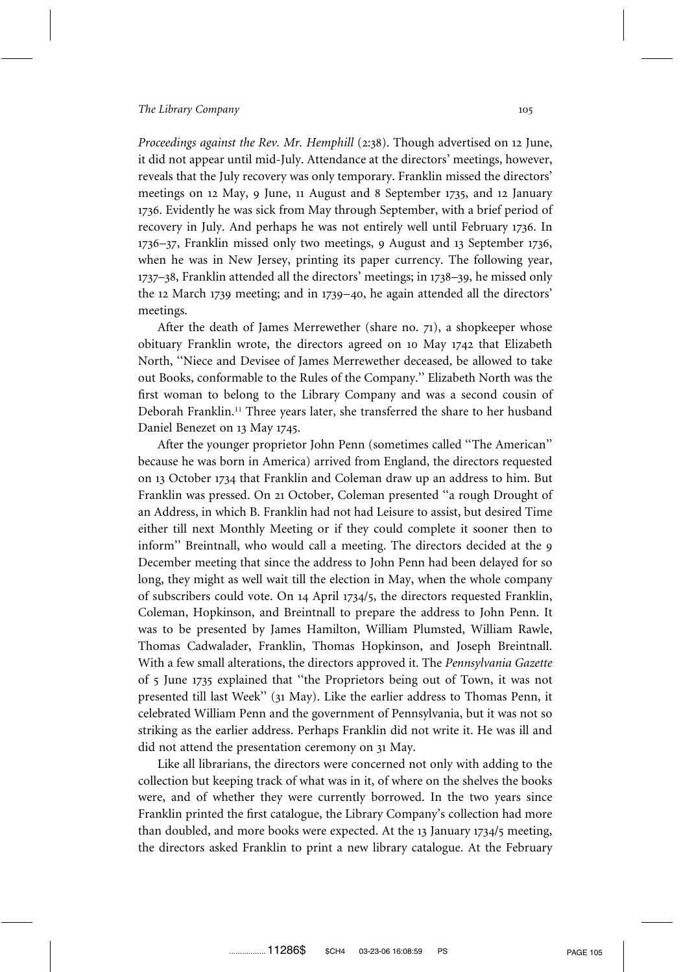*Proceedings against the Rev. Mr. Hemphill* (2:38). Though advertised on 12 June, it did not appear until mid-July. Attendance at the directors' meetings, however, reveals that the July recovery was only temporary. Franklin missed the directors' meetings on 12 May, 9 June, 11 August and 8 September 1735, and 12 January 1736. Evidently he was sick from May through September, with a brief period of recovery in July. And perhaps he was not entirely well until February 1736. In 1736–37, Franklin missed only two meetings, 9 August and 13 September 1736, when he was in New Jersey, printing its paper currency. The following year, 1737–38, Franklin attended all the directors' meetings; in 1738–39, he missed only the 12 March 1739 meeting; and in 1739–40, he again attended all the directors' meetings.

After the death of James Merrewether (share no. 71), a shopkeeper whose obituary Franklin wrote, the directors agreed on 10 May 1742 that Elizabeth North, ''Niece and Devisee of James Merrewether deceased, be allowed to take out Books, conformable to the Rules of the Company.'' Elizabeth North was the first woman to belong to the Library Company and was a second cousin of Deborah Franklin.11 Three years later, she transferred the share to her husband Daniel Benezet on 13 May 1745.

After the younger proprietor John Penn (sometimes called ''The American'' because he was born in America) arrived from England, the directors requested on 13 October 1734 that Franklin and Coleman draw up an address to him. But Franklin was pressed. On 21 October, Coleman presented ''a rough Drought of an Address, in which B. Franklin had not had Leisure to assist, but desired Time either till next Monthly Meeting or if they could complete it sooner then to inform'' Breintnall, who would call a meeting. The directors decided at the 9 December meeting that since the address to John Penn had been delayed for so long, they might as well wait till the election in May, when the whole company of subscribers could vote. On 14 April 1734/5, the directors requested Franklin, Coleman, Hopkinson, and Breintnall to prepare the address to John Penn. It was to be presented by James Hamilton, William Plumsted, William Rawle, Thomas Cadwalader, Franklin, Thomas Hopkinson, and Joseph Breintnall. With a few small alterations, the directors approved it. The *Pennsylvania Gazette* of 5 June 1735 explained that ''the Proprietors being out of Town, it was not presented till last Week'' (31 May). Like the earlier address to Thomas Penn, it celebrated William Penn and the government of Pennsylvania, but it was not so striking as the earlier address. Perhaps Franklin did not write it. He was ill and did not attend the presentation ceremony on 31 May.

Like all librarians, the directors were concerned not only with adding to the collection but keeping track of what was in it, of where on the shelves the books were, and of whether they were currently borrowed. In the two years since Franklin printed the first catalogue, the Library Company's collection had more than doubled, and more books were expected. At the 13 January 1734/5 meeting, the directors asked Franklin to print a new library catalogue. At the February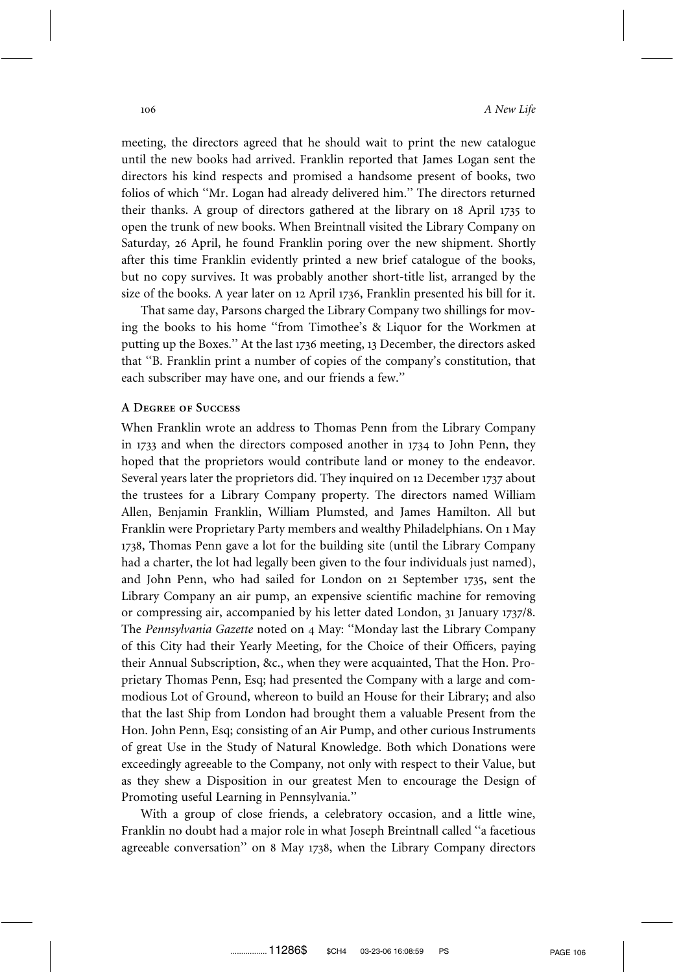meeting, the directors agreed that he should wait to print the new catalogue until the new books had arrived. Franklin reported that James Logan sent the directors his kind respects and promised a handsome present of books, two folios of which ''Mr. Logan had already delivered him.'' The directors returned their thanks. A group of directors gathered at the library on 18 April 1735 to open the trunk of new books. When Breintnall visited the Library Company on Saturday, 26 April, he found Franklin poring over the new shipment. Shortly after this time Franklin evidently printed a new brief catalogue of the books, but no copy survives. It was probably another short-title list, arranged by the size of the books. A year later on 12 April 1736, Franklin presented his bill for it.

That same day, Parsons charged the Library Company two shillings for moving the books to his home ''from Timothee's & Liquor for the Workmen at putting up the Boxes.'' At the last 1736 meeting, 13 December, the directors asked that ''B. Franklin print a number of copies of the company's constitution, that each subscriber may have one, and our friends a few.''

## **A Degree of Success**

When Franklin wrote an address to Thomas Penn from the Library Company in 1733 and when the directors composed another in 1734 to John Penn, they hoped that the proprietors would contribute land or money to the endeavor. Several years later the proprietors did. They inquired on 12 December 1737 about the trustees for a Library Company property. The directors named William Allen, Benjamin Franklin, William Plumsted, and James Hamilton. All but Franklin were Proprietary Party members and wealthy Philadelphians. On 1 May 1738, Thomas Penn gave a lot for the building site (until the Library Company had a charter, the lot had legally been given to the four individuals just named), and John Penn, who had sailed for London on 21 September 1735, sent the Library Company an air pump, an expensive scientific machine for removing or compressing air, accompanied by his letter dated London, 31 January 1737/8. The *Pennsylvania Gazette* noted on 4 May: ''Monday last the Library Company of this City had their Yearly Meeting, for the Choice of their Officers, paying their Annual Subscription, &c., when they were acquainted, That the Hon. Proprietary Thomas Penn, Esq; had presented the Company with a large and commodious Lot of Ground, whereon to build an House for their Library; and also that the last Ship from London had brought them a valuable Present from the Hon. John Penn, Esq; consisting of an Air Pump, and other curious Instruments of great Use in the Study of Natural Knowledge. Both which Donations were exceedingly agreeable to the Company, not only with respect to their Value, but as they shew a Disposition in our greatest Men to encourage the Design of Promoting useful Learning in Pennsylvania.''

With a group of close friends, a celebratory occasion, and a little wine, Franklin no doubt had a major role in what Joseph Breintnall called ''a facetious agreeable conversation'' on 8 May 1738, when the Library Company directors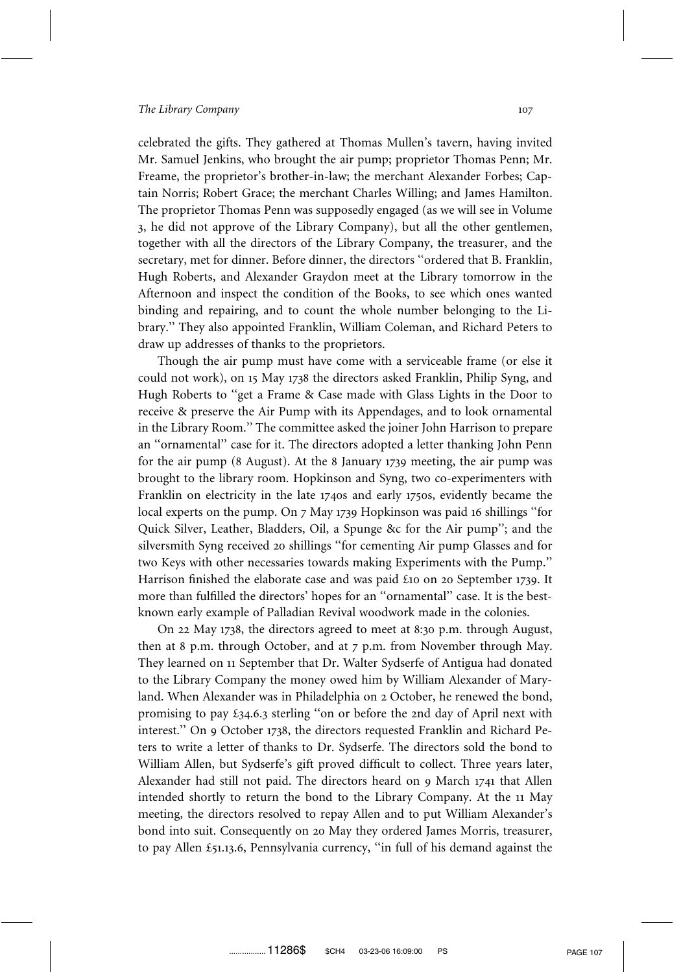celebrated the gifts. They gathered at Thomas Mullen's tavern, having invited Mr. Samuel Jenkins, who brought the air pump; proprietor Thomas Penn; Mr. Freame, the proprietor's brother-in-law; the merchant Alexander Forbes; Captain Norris; Robert Grace; the merchant Charles Willing; and James Hamilton. The proprietor Thomas Penn was supposedly engaged (as we will see in Volume 3, he did not approve of the Library Company), but all the other gentlemen, together with all the directors of the Library Company, the treasurer, and the secretary, met for dinner. Before dinner, the directors ''ordered that B. Franklin, Hugh Roberts, and Alexander Graydon meet at the Library tomorrow in the Afternoon and inspect the condition of the Books, to see which ones wanted binding and repairing, and to count the whole number belonging to the Library.'' They also appointed Franklin, William Coleman, and Richard Peters to draw up addresses of thanks to the proprietors.

Though the air pump must have come with a serviceable frame (or else it could not work), on 15 May 1738 the directors asked Franklin, Philip Syng, and Hugh Roberts to ''get a Frame & Case made with Glass Lights in the Door to receive & preserve the Air Pump with its Appendages, and to look ornamental in the Library Room.'' The committee asked the joiner John Harrison to prepare an ''ornamental'' case for it. The directors adopted a letter thanking John Penn for the air pump (8 August). At the 8 January 1739 meeting, the air pump was brought to the library room. Hopkinson and Syng, two co-experimenters with Franklin on electricity in the late 1740s and early 1750s, evidently became the local experts on the pump. On 7 May 1739 Hopkinson was paid 16 shillings ''for Quick Silver, Leather, Bladders, Oil, a Spunge &c for the Air pump''; and the silversmith Syng received 20 shillings ''for cementing Air pump Glasses and for two Keys with other necessaries towards making Experiments with the Pump.'' Harrison finished the elaborate case and was paid £10 on 20 September 1739. It more than fulfilled the directors' hopes for an ''ornamental'' case. It is the bestknown early example of Palladian Revival woodwork made in the colonies.

On 22 May 1738, the directors agreed to meet at 8:30 p.m. through August, then at 8 p.m. through October, and at 7 p.m. from November through May. They learned on 11 September that Dr. Walter Sydserfe of Antigua had donated to the Library Company the money owed him by William Alexander of Maryland. When Alexander was in Philadelphia on 2 October, he renewed the bond, promising to pay £34.6.3 sterling ''on or before the 2nd day of April next with interest.'' On 9 October 1738, the directors requested Franklin and Richard Peters to write a letter of thanks to Dr. Sydserfe. The directors sold the bond to William Allen, but Sydserfe's gift proved difficult to collect. Three years later, Alexander had still not paid. The directors heard on 9 March 1741 that Allen intended shortly to return the bond to the Library Company. At the 11 May meeting, the directors resolved to repay Allen and to put William Alexander's bond into suit. Consequently on 20 May they ordered James Morris, treasurer, to pay Allen £51.13.6, Pennsylvania currency, ''in full of his demand against the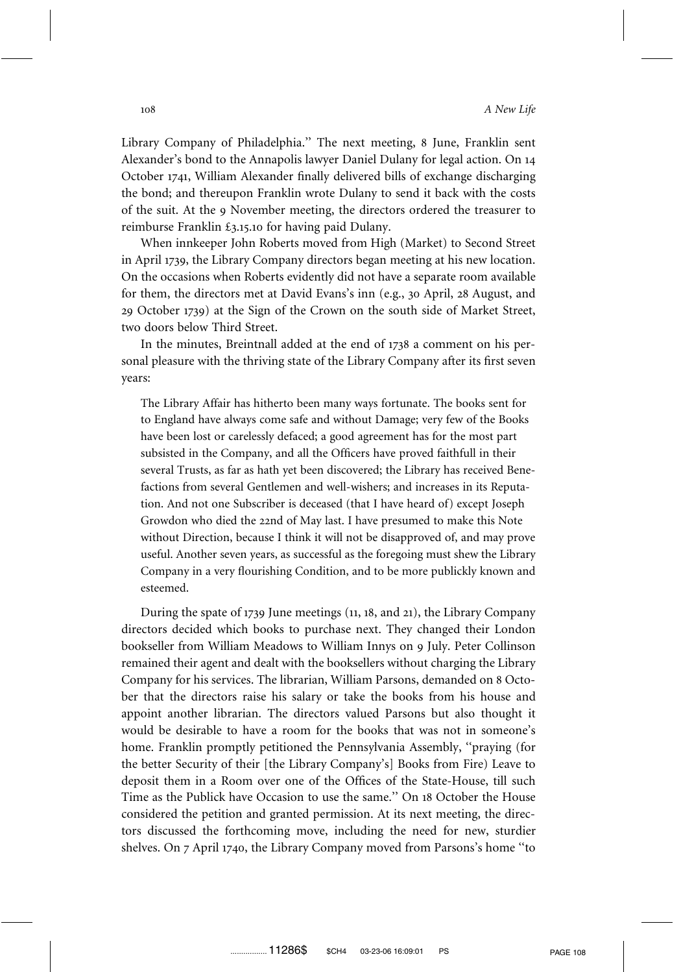Library Company of Philadelphia.'' The next meeting, 8 June, Franklin sent Alexander's bond to the Annapolis lawyer Daniel Dulany for legal action. On 14 October 1741, William Alexander finally delivered bills of exchange discharging the bond; and thereupon Franklin wrote Dulany to send it back with the costs of the suit. At the 9 November meeting, the directors ordered the treasurer to reimburse Franklin £3.15.10 for having paid Dulany.

When innkeeper John Roberts moved from High (Market) to Second Street in April 1739, the Library Company directors began meeting at his new location. On the occasions when Roberts evidently did not have a separate room available for them, the directors met at David Evans's inn (e.g., 30 April, 28 August, and 29 October 1739) at the Sign of the Crown on the south side of Market Street, two doors below Third Street.

In the minutes, Breintnall added at the end of 1738 a comment on his personal pleasure with the thriving state of the Library Company after its first seven years:

The Library Affair has hitherto been many ways fortunate. The books sent for to England have always come safe and without Damage; very few of the Books have been lost or carelessly defaced; a good agreement has for the most part subsisted in the Company, and all the Officers have proved faithfull in their several Trusts, as far as hath yet been discovered; the Library has received Benefactions from several Gentlemen and well-wishers; and increases in its Reputation. And not one Subscriber is deceased (that I have heard of) except Joseph Growdon who died the 22nd of May last. I have presumed to make this Note without Direction, because I think it will not be disapproved of, and may prove useful. Another seven years, as successful as the foregoing must shew the Library Company in a very flourishing Condition, and to be more publickly known and esteemed.

During the spate of 1739 June meetings (11, 18, and 21), the Library Company directors decided which books to purchase next. They changed their London bookseller from William Meadows to William Innys on 9 July. Peter Collinson remained their agent and dealt with the booksellers without charging the Library Company for his services. The librarian, William Parsons, demanded on 8 October that the directors raise his salary or take the books from his house and appoint another librarian. The directors valued Parsons but also thought it would be desirable to have a room for the books that was not in someone's home. Franklin promptly petitioned the Pennsylvania Assembly, ''praying (for the better Security of their [the Library Company's] Books from Fire) Leave to deposit them in a Room over one of the Offices of the State-House, till such Time as the Publick have Occasion to use the same.'' On 18 October the House considered the petition and granted permission. At its next meeting, the directors discussed the forthcoming move, including the need for new, sturdier shelves. On 7 April 1740, the Library Company moved from Parsons's home ''to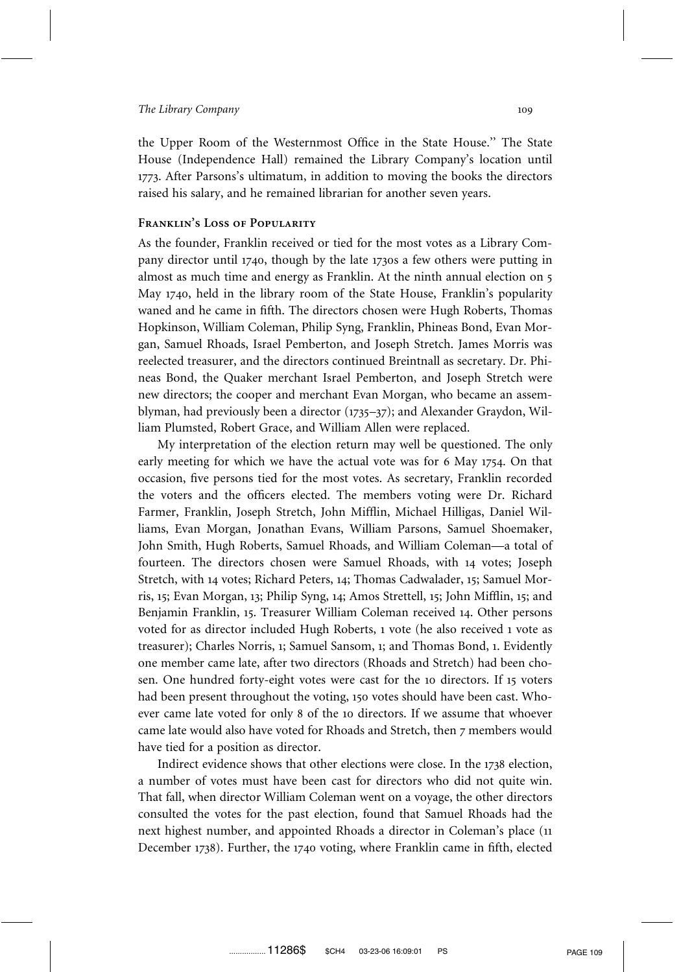the Upper Room of the Westernmost Office in the State House.'' The State House (Independence Hall) remained the Library Company's location until 1773. After Parsons's ultimatum, in addition to moving the books the directors raised his salary, and he remained librarian for another seven years.

## **Franklin's Loss of Popularity**

As the founder, Franklin received or tied for the most votes as a Library Company director until 1740, though by the late 1730s a few others were putting in almost as much time and energy as Franklin. At the ninth annual election on 5 May 1740, held in the library room of the State House, Franklin's popularity waned and he came in fifth. The directors chosen were Hugh Roberts, Thomas Hopkinson, William Coleman, Philip Syng, Franklin, Phineas Bond, Evan Morgan, Samuel Rhoads, Israel Pemberton, and Joseph Stretch. James Morris was reelected treasurer, and the directors continued Breintnall as secretary. Dr. Phineas Bond, the Quaker merchant Israel Pemberton, and Joseph Stretch were new directors; the cooper and merchant Evan Morgan, who became an assemblyman, had previously been a director (1735–37); and Alexander Graydon, William Plumsted, Robert Grace, and William Allen were replaced.

My interpretation of the election return may well be questioned. The only early meeting for which we have the actual vote was for 6 May 1754. On that occasion, five persons tied for the most votes. As secretary, Franklin recorded the voters and the officers elected. The members voting were Dr. Richard Farmer, Franklin, Joseph Stretch, John Mifflin, Michael Hilligas, Daniel Williams, Evan Morgan, Jonathan Evans, William Parsons, Samuel Shoemaker, John Smith, Hugh Roberts, Samuel Rhoads, and William Coleman—a total of fourteen. The directors chosen were Samuel Rhoads, with 14 votes; Joseph Stretch, with 14 votes; Richard Peters, 14; Thomas Cadwalader, 15; Samuel Morris, 15; Evan Morgan, 13; Philip Syng, 14; Amos Strettell, 15; John Mifflin, 15; and Benjamin Franklin, 15. Treasurer William Coleman received 14. Other persons voted for as director included Hugh Roberts, 1 vote (he also received 1 vote as treasurer); Charles Norris, 1; Samuel Sansom, 1; and Thomas Bond, 1. Evidently one member came late, after two directors (Rhoads and Stretch) had been chosen. One hundred forty-eight votes were cast for the 10 directors. If 15 voters had been present throughout the voting, 150 votes should have been cast. Whoever came late voted for only 8 of the 10 directors. If we assume that whoever came late would also have voted for Rhoads and Stretch, then 7 members would have tied for a position as director.

Indirect evidence shows that other elections were close. In the 1738 election, a number of votes must have been cast for directors who did not quite win. That fall, when director William Coleman went on a voyage, the other directors consulted the votes for the past election, found that Samuel Rhoads had the next highest number, and appointed Rhoads a director in Coleman's place (11 December 1738). Further, the 1740 voting, where Franklin came in fifth, elected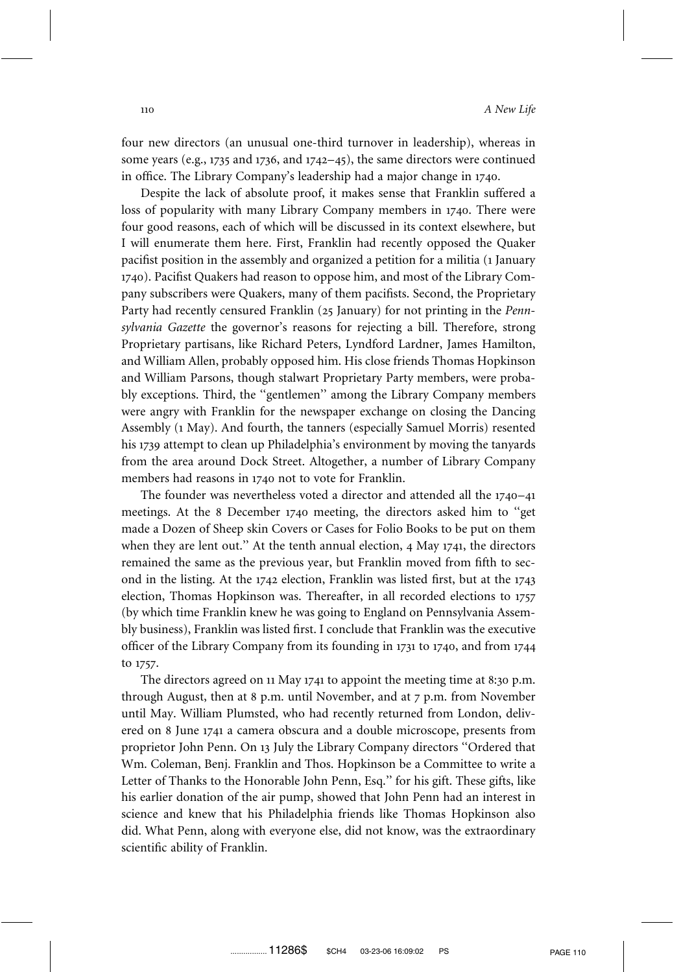four new directors (an unusual one-third turnover in leadership), whereas in some years (e.g., 1735 and 1736, and 1742–45), the same directors were continued in office. The Library Company's leadership had a major change in 1740.

Despite the lack of absolute proof, it makes sense that Franklin suffered a loss of popularity with many Library Company members in 1740. There were four good reasons, each of which will be discussed in its context elsewhere, but I will enumerate them here. First, Franklin had recently opposed the Quaker pacifist position in the assembly and organized a petition for a militia (1 January 1740). Pacifist Quakers had reason to oppose him, and most of the Library Company subscribers were Quakers, many of them pacifists. Second, the Proprietary Party had recently censured Franklin (25 January) for not printing in the *Pennsylvania Gazette* the governor's reasons for rejecting a bill. Therefore, strong Proprietary partisans, like Richard Peters, Lyndford Lardner, James Hamilton, and William Allen, probably opposed him. His close friends Thomas Hopkinson and William Parsons, though stalwart Proprietary Party members, were probably exceptions. Third, the ''gentlemen'' among the Library Company members were angry with Franklin for the newspaper exchange on closing the Dancing Assembly (1 May). And fourth, the tanners (especially Samuel Morris) resented his 1739 attempt to clean up Philadelphia's environment by moving the tanyards from the area around Dock Street. Altogether, a number of Library Company members had reasons in 1740 not to vote for Franklin.

The founder was nevertheless voted a director and attended all the 1740–41 meetings. At the 8 December 1740 meeting, the directors asked him to ''get made a Dozen of Sheep skin Covers or Cases for Folio Books to be put on them when they are lent out." At the tenth annual election, 4 May 1741, the directors remained the same as the previous year, but Franklin moved from fifth to second in the listing. At the 1742 election, Franklin was listed first, but at the 1743 election, Thomas Hopkinson was. Thereafter, in all recorded elections to 1757 (by which time Franklin knew he was going to England on Pennsylvania Assembly business), Franklin was listed first. I conclude that Franklin was the executive officer of the Library Company from its founding in 1731 to 1740, and from 1744 to 1757.

The directors agreed on 11 May 1741 to appoint the meeting time at 8:30 p.m. through August, then at 8 p.m. until November, and at 7 p.m. from November until May. William Plumsted, who had recently returned from London, delivered on 8 June 1741 a camera obscura and a double microscope, presents from proprietor John Penn. On 13 July the Library Company directors ''Ordered that Wm. Coleman, Benj. Franklin and Thos. Hopkinson be a Committee to write a Letter of Thanks to the Honorable John Penn, Esq.'' for his gift. These gifts, like his earlier donation of the air pump, showed that John Penn had an interest in science and knew that his Philadelphia friends like Thomas Hopkinson also did. What Penn, along with everyone else, did not know, was the extraordinary scientific ability of Franklin.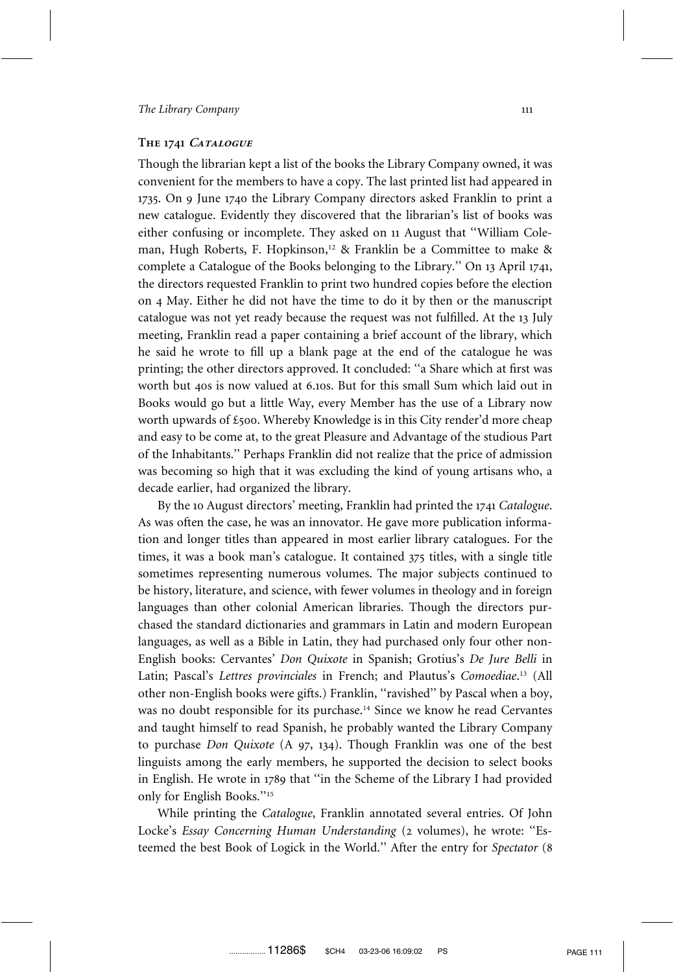### **THE 1741 CATALOGUE**

Though the librarian kept a list of the books the Library Company owned, it was convenient for the members to have a copy. The last printed list had appeared in 1735. On 9 June 1740 the Library Company directors asked Franklin to print a new catalogue. Evidently they discovered that the librarian's list of books was either confusing or incomplete. They asked on 11 August that ''William Coleman, Hugh Roberts, F. Hopkinson,<sup>12</sup> & Franklin be a Committee to make & complete a Catalogue of the Books belonging to the Library.'' On 13 April 1741, the directors requested Franklin to print two hundred copies before the election on 4 May. Either he did not have the time to do it by then or the manuscript catalogue was not yet ready because the request was not fulfilled. At the 13 July meeting, Franklin read a paper containing a brief account of the library, which he said he wrote to fill up a blank page at the end of the catalogue he was printing; the other directors approved. It concluded: ''a Share which at first was worth but 40s is now valued at 6.10s. But for this small Sum which laid out in Books would go but a little Way, every Member has the use of a Library now worth upwards of £500. Whereby Knowledge is in this City render'd more cheap and easy to be come at, to the great Pleasure and Advantage of the studious Part of the Inhabitants.'' Perhaps Franklin did not realize that the price of admission was becoming so high that it was excluding the kind of young artisans who, a decade earlier, had organized the library.

By the 10 August directors' meeting, Franklin had printed the 1741 *Catalogue*. As was often the case, he was an innovator. He gave more publication information and longer titles than appeared in most earlier library catalogues. For the times, it was a book man's catalogue. It contained 375 titles, with a single title sometimes representing numerous volumes. The major subjects continued to be history, literature, and science, with fewer volumes in theology and in foreign languages than other colonial American libraries. Though the directors purchased the standard dictionaries and grammars in Latin and modern European languages, as well as a Bible in Latin, they had purchased only four other non-English books: Cervantes' *Don Quixote* in Spanish; Grotius's *De Jure Belli* in Latin; Pascal's *Lettres provinciales* in French; and Plautus's *Comoediae*. <sup>13</sup> (All other non-English books were gifts.) Franklin, ''ravished'' by Pascal when a boy, was no doubt responsible for its purchase.<sup>14</sup> Since we know he read Cervantes and taught himself to read Spanish, he probably wanted the Library Company to purchase *Don Quixote* (A 97, 134). Though Franklin was one of the best linguists among the early members, he supported the decision to select books in English. He wrote in 1789 that ''in the Scheme of the Library I had provided only for English Books.''15

While printing the *Catalogue*, Franklin annotated several entries. Of John Locke's *Essay Concerning Human Understanding* (2 volumes), he wrote: ''Esteemed the best Book of Logick in the World.'' After the entry for *Spectator* (8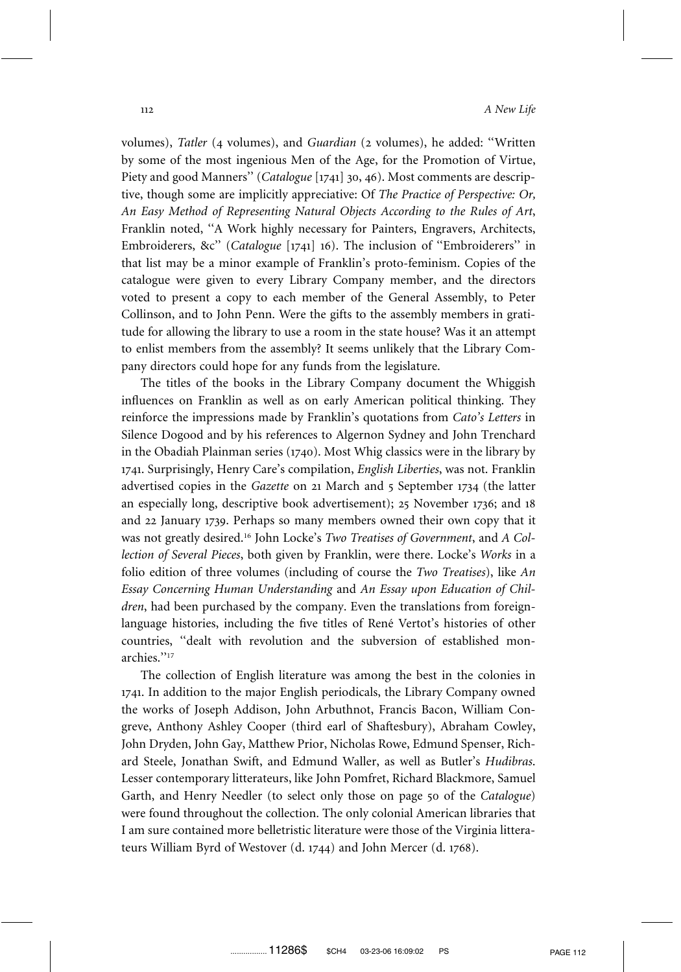volumes), *Tatler* (4 volumes), and *Guardian* (2 volumes), he added: ''Written by some of the most ingenious Men of the Age, for the Promotion of Virtue, Piety and good Manners" (*Catalogue* [1741] 30, 46). Most comments are descriptive, though some are implicitly appreciative: Of *The Practice of Perspective: Or, An Easy Method of Representing Natural Objects According to the Rules of Art*, Franklin noted, ''A Work highly necessary for Painters, Engravers, Architects, Embroiderers, &c'' (*Catalogue* [1741] 16). The inclusion of ''Embroiderers'' in that list may be a minor example of Franklin's proto-feminism. Copies of the catalogue were given to every Library Company member, and the directors voted to present a copy to each member of the General Assembly, to Peter Collinson, and to John Penn. Were the gifts to the assembly members in gratitude for allowing the library to use a room in the state house? Was it an attempt to enlist members from the assembly? It seems unlikely that the Library Company directors could hope for any funds from the legislature.

The titles of the books in the Library Company document the Whiggish influences on Franklin as well as on early American political thinking. They reinforce the impressions made by Franklin's quotations from *Cato's Letters* in Silence Dogood and by his references to Algernon Sydney and John Trenchard in the Obadiah Plainman series (1740). Most Whig classics were in the library by 1741. Surprisingly, Henry Care's compilation, *English Liberties*, was not. Franklin advertised copies in the *Gazette* on 21 March and 5 September 1734 (the latter an especially long, descriptive book advertisement); 25 November 1736; and 18 and 22 January 1739. Perhaps so many members owned their own copy that it was not greatly desired.16 John Locke's *Two Treatises of Government*, and *A Collection of Several Pieces*, both given by Franklin, were there. Locke's *Works* in a folio edition of three volumes (including of course the *Two Treatises*), like *An Essay Concerning Human Understanding* and *An Essay upon Education of Children*, had been purchased by the company. Even the translations from foreignlanguage histories, including the five titles of René Vertot's histories of other countries, ''dealt with revolution and the subversion of established monarchies.''17

The collection of English literature was among the best in the colonies in 1741. In addition to the major English periodicals, the Library Company owned the works of Joseph Addison, John Arbuthnot, Francis Bacon, William Congreve, Anthony Ashley Cooper (third earl of Shaftesbury), Abraham Cowley, John Dryden, John Gay, Matthew Prior, Nicholas Rowe, Edmund Spenser, Richard Steele, Jonathan Swift, and Edmund Waller, as well as Butler's *Hudibras*. Lesser contemporary litterateurs, like John Pomfret, Richard Blackmore, Samuel Garth, and Henry Needler (to select only those on page 50 of the *Catalogue*) were found throughout the collection. The only colonial American libraries that I am sure contained more belletristic literature were those of the Virginia litterateurs William Byrd of Westover (d. 1744) and John Mercer (d. 1768).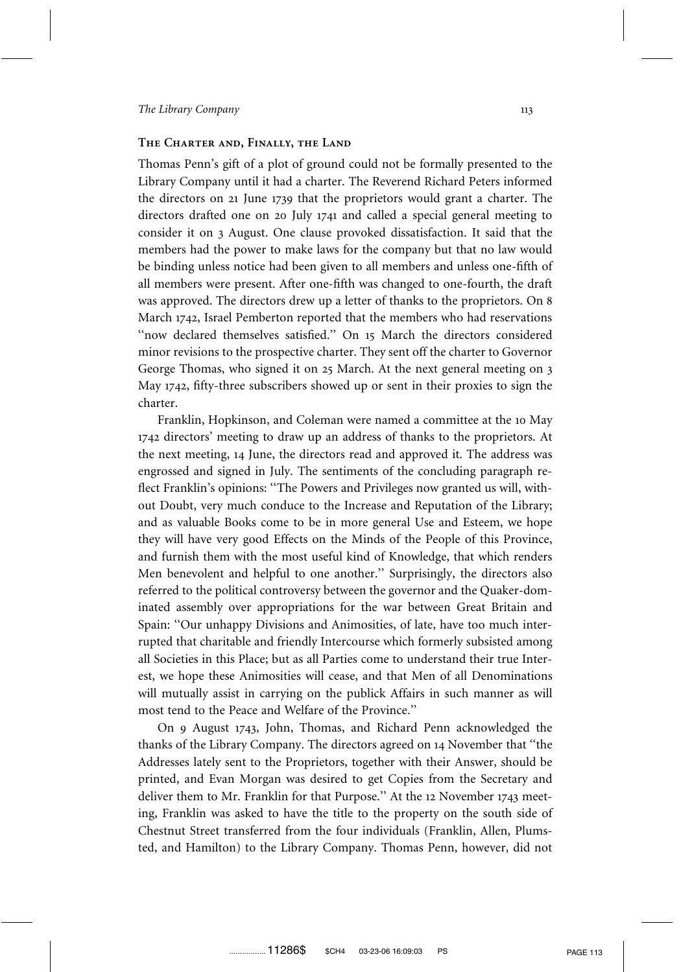## **The Charter and, Finally, the Land**

Thomas Penn's gift of a plot of ground could not be formally presented to the Library Company until it had a charter. The Reverend Richard Peters informed the directors on 21 June 1739 that the proprietors would grant a charter. The directors drafted one on 20 July 1741 and called a special general meeting to consider it on 3 August. One clause provoked dissatisfaction. It said that the members had the power to make laws for the company but that no law would be binding unless notice had been given to all members and unless one-fifth of all members were present. After one-fifth was changed to one-fourth, the draft was approved. The directors drew up a letter of thanks to the proprietors. On 8 March 1742, Israel Pemberton reported that the members who had reservations "now declared themselves satisfied." On 15 March the directors considered minor revisions to the prospective charter. They sent off the charter to Governor George Thomas, who signed it on 25 March. At the next general meeting on 3 May 1742, fifty-three subscribers showed up or sent in their proxies to sign the charter.

Franklin, Hopkinson, and Coleman were named a committee at the 10 May 1742 directors' meeting to draw up an address of thanks to the proprietors. At the next meeting, 14 June, the directors read and approved it. The address was engrossed and signed in July. The sentiments of the concluding paragraph reflect Franklin's opinions: ''The Powers and Privileges now granted us will, without Doubt, very much conduce to the Increase and Reputation of the Library; and as valuable Books come to be in more general Use and Esteem, we hope they will have very good Effects on the Minds of the People of this Province, and furnish them with the most useful kind of Knowledge, that which renders Men benevolent and helpful to one another.'' Surprisingly, the directors also referred to the political controversy between the governor and the Quaker-dominated assembly over appropriations for the war between Great Britain and Spain: ''Our unhappy Divisions and Animosities, of late, have too much interrupted that charitable and friendly Intercourse which formerly subsisted among all Societies in this Place; but as all Parties come to understand their true Interest, we hope these Animosities will cease, and that Men of all Denominations will mutually assist in carrying on the publick Affairs in such manner as will most tend to the Peace and Welfare of the Province.''

On 9 August 1743, John, Thomas, and Richard Penn acknowledged the thanks of the Library Company. The directors agreed on 14 November that ''the Addresses lately sent to the Proprietors, together with their Answer, should be printed, and Evan Morgan was desired to get Copies from the Secretary and deliver them to Mr. Franklin for that Purpose.'' At the 12 November 1743 meeting, Franklin was asked to have the title to the property on the south side of Chestnut Street transferred from the four individuals (Franklin, Allen, Plumsted, and Hamilton) to the Library Company. Thomas Penn, however, did not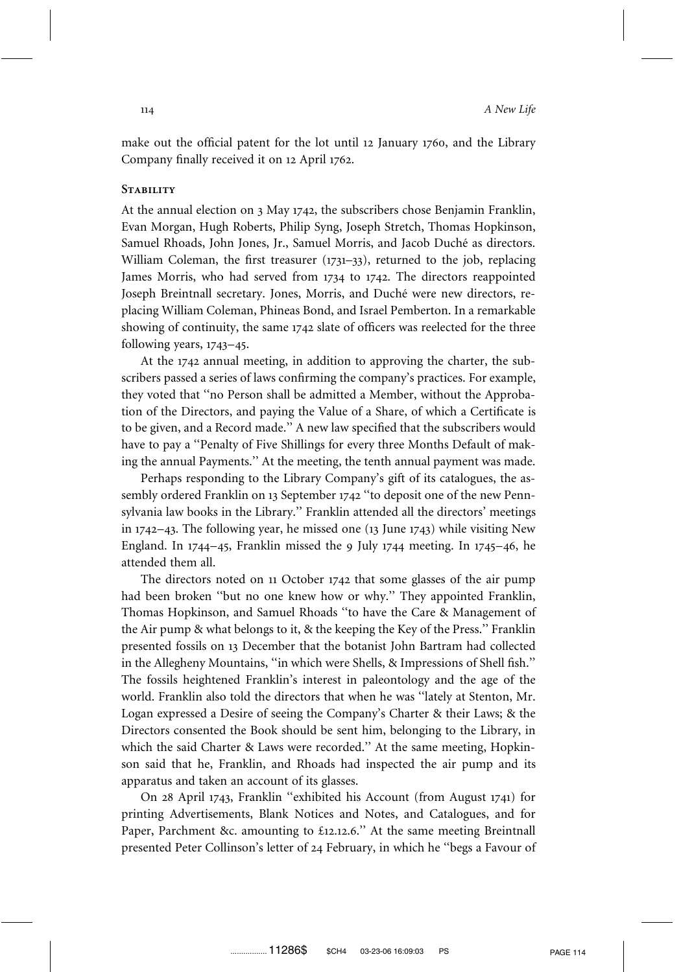make out the official patent for the lot until 12 January 1760, and the Library Company finally received it on 12 April 1762.

## **Stability**

At the annual election on 3 May 1742, the subscribers chose Benjamin Franklin, Evan Morgan, Hugh Roberts, Philip Syng, Joseph Stretch, Thomas Hopkinson, Samuel Rhoads, John Jones, Jr., Samuel Morris, and Jacob Duché as directors. William Coleman, the first treasurer (1731–33), returned to the job, replacing James Morris, who had served from 1734 to 1742. The directors reappointed Joseph Breintnall secretary. Jones, Morris, and Duché were new directors, replacing William Coleman, Phineas Bond, and Israel Pemberton. In a remarkable showing of continuity, the same 1742 slate of officers was reelected for the three following years, 1743–45.

At the 1742 annual meeting, in addition to approving the charter, the subscribers passed a series of laws confirming the company's practices. For example, they voted that ''no Person shall be admitted a Member, without the Approbation of the Directors, and paying the Value of a Share, of which a Certificate is to be given, and a Record made.'' A new law specified that the subscribers would have to pay a ''Penalty of Five Shillings for every three Months Default of making the annual Payments.'' At the meeting, the tenth annual payment was made.

Perhaps responding to the Library Company's gift of its catalogues, the assembly ordered Franklin on 13 September 1742 ''to deposit one of the new Pennsylvania law books in the Library.'' Franklin attended all the directors' meetings in 1742–43. The following year, he missed one (13 June 1743) while visiting New England. In 1744–45, Franklin missed the 9 July 1744 meeting. In 1745–46, he attended them all.

The directors noted on 11 October 1742 that some glasses of the air pump had been broken ''but no one knew how or why.'' They appointed Franklin, Thomas Hopkinson, and Samuel Rhoads ''to have the Care & Management of the Air pump & what belongs to it, & the keeping the Key of the Press.'' Franklin presented fossils on 13 December that the botanist John Bartram had collected in the Allegheny Mountains, ''in which were Shells, & Impressions of Shell fish.'' The fossils heightened Franklin's interest in paleontology and the age of the world. Franklin also told the directors that when he was ''lately at Stenton, Mr. Logan expressed a Desire of seeing the Company's Charter & their Laws; & the Directors consented the Book should be sent him, belonging to the Library, in which the said Charter & Laws were recorded.'' At the same meeting, Hopkinson said that he, Franklin, and Rhoads had inspected the air pump and its apparatus and taken an account of its glasses.

On 28 April 1743, Franklin ''exhibited his Account (from August 1741) for printing Advertisements, Blank Notices and Notes, and Catalogues, and for Paper, Parchment &c. amounting to £12.12.6.'' At the same meeting Breintnall presented Peter Collinson's letter of 24 February, in which he ''begs a Favour of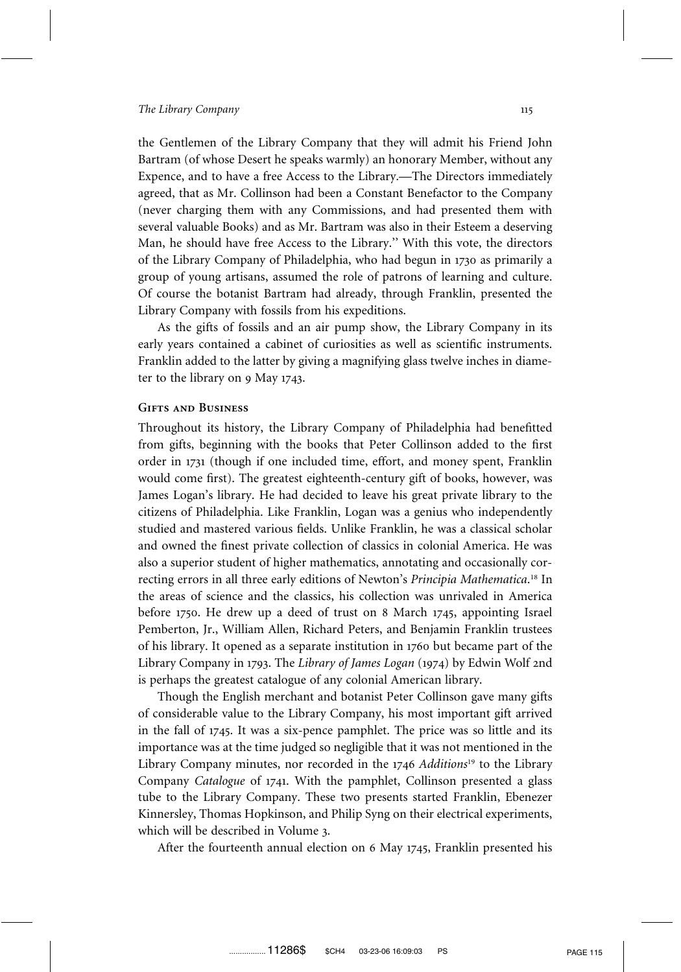the Gentlemen of the Library Company that they will admit his Friend John Bartram (of whose Desert he speaks warmly) an honorary Member, without any Expence, and to have a free Access to the Library.—The Directors immediately agreed, that as Mr. Collinson had been a Constant Benefactor to the Company (never charging them with any Commissions, and had presented them with several valuable Books) and as Mr. Bartram was also in their Esteem a deserving Man, he should have free Access to the Library.'' With this vote, the directors of the Library Company of Philadelphia, who had begun in 1730 as primarily a group of young artisans, assumed the role of patrons of learning and culture. Of course the botanist Bartram had already, through Franklin, presented the Library Company with fossils from his expeditions.

As the gifts of fossils and an air pump show, the Library Company in its early years contained a cabinet of curiosities as well as scientific instruments. Franklin added to the latter by giving a magnifying glass twelve inches in diameter to the library on 9 May 1743.

### **Gifts and Business**

Throughout its history, the Library Company of Philadelphia had benefitted from gifts, beginning with the books that Peter Collinson added to the first order in 1731 (though if one included time, effort, and money spent, Franklin would come first). The greatest eighteenth-century gift of books, however, was James Logan's library. He had decided to leave his great private library to the citizens of Philadelphia. Like Franklin, Logan was a genius who independently studied and mastered various fields. Unlike Franklin, he was a classical scholar and owned the finest private collection of classics in colonial America. He was also a superior student of higher mathematics, annotating and occasionally correcting errors in all three early editions of Newton's *Principia Mathematica*. <sup>18</sup> In the areas of science and the classics, his collection was unrivaled in America before 1750. He drew up a deed of trust on 8 March 1745, appointing Israel Pemberton, Jr., William Allen, Richard Peters, and Benjamin Franklin trustees of his library. It opened as a separate institution in 1760 but became part of the Library Company in 1793. The *Library of James Logan* (1974) by Edwin Wolf 2nd is perhaps the greatest catalogue of any colonial American library.

Though the English merchant and botanist Peter Collinson gave many gifts of considerable value to the Library Company, his most important gift arrived in the fall of 1745. It was a six-pence pamphlet. The price was so little and its importance was at the time judged so negligible that it was not mentioned in the Library Company minutes, nor recorded in the 1746 *Additions*<sup>19</sup> to the Library Company *Catalogue* of 1741. With the pamphlet, Collinson presented a glass tube to the Library Company. These two presents started Franklin, Ebenezer Kinnersley, Thomas Hopkinson, and Philip Syng on their electrical experiments, which will be described in Volume 3.

After the fourteenth annual election on 6 May 1745, Franklin presented his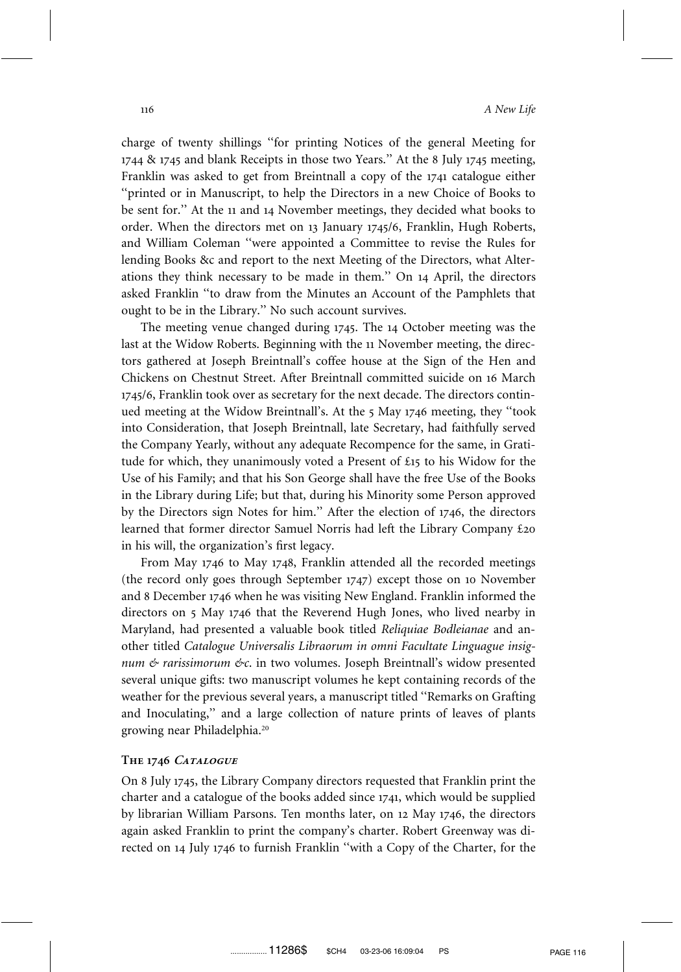charge of twenty shillings ''for printing Notices of the general Meeting for 1744 & 1745 and blank Receipts in those two Years.'' At the 8 July 1745 meeting, Franklin was asked to get from Breintnall a copy of the 1741 catalogue either ''printed or in Manuscript, to help the Directors in a new Choice of Books to be sent for.'' At the 11 and 14 November meetings, they decided what books to order. When the directors met on 13 January 1745/6, Franklin, Hugh Roberts, and William Coleman ''were appointed a Committee to revise the Rules for lending Books &c and report to the next Meeting of the Directors, what Alterations they think necessary to be made in them.'' On 14 April, the directors asked Franklin ''to draw from the Minutes an Account of the Pamphlets that ought to be in the Library.'' No such account survives.

The meeting venue changed during 1745. The 14 October meeting was the last at the Widow Roberts. Beginning with the 11 November meeting, the directors gathered at Joseph Breintnall's coffee house at the Sign of the Hen and Chickens on Chestnut Street. After Breintnall committed suicide on 16 March 1745/6, Franklin took over as secretary for the next decade. The directors continued meeting at the Widow Breintnall's. At the 5 May 1746 meeting, they ''took into Consideration, that Joseph Breintnall, late Secretary, had faithfully served the Company Yearly, without any adequate Recompence for the same, in Gratitude for which, they unanimously voted a Present of  $\pounds$ 15 to his Widow for the Use of his Family; and that his Son George shall have the free Use of the Books in the Library during Life; but that, during his Minority some Person approved by the Directors sign Notes for him.'' After the election of 1746, the directors learned that former director Samuel Norris had left the Library Company £20 in his will, the organization's first legacy.

From May 1746 to May 1748, Franklin attended all the recorded meetings (the record only goes through September 1747) except those on 10 November and 8 December 1746 when he was visiting New England. Franklin informed the directors on 5 May 1746 that the Reverend Hugh Jones, who lived nearby in Maryland, had presented a valuable book titled *Reliquiae Bodleianae* and another titled *Catalogue Universalis Libraorum in omni Facultate Linguague insignum & rarissimorum &c*. in two volumes. Joseph Breintnall's widow presented several unique gifts: two manuscript volumes he kept containing records of the weather for the previous several years, a manuscript titled ''Remarks on Grafting and Inoculating,'' and a large collection of nature prints of leaves of plants growing near Philadelphia.20

## **The 1746 <sup>C</sup>atalogue**

On 8 July 1745, the Library Company directors requested that Franklin print the charter and a catalogue of the books added since 1741, which would be supplied by librarian William Parsons. Ten months later, on 12 May 1746, the directors again asked Franklin to print the company's charter. Robert Greenway was directed on 14 July 1746 to furnish Franklin ''with a Copy of the Charter, for the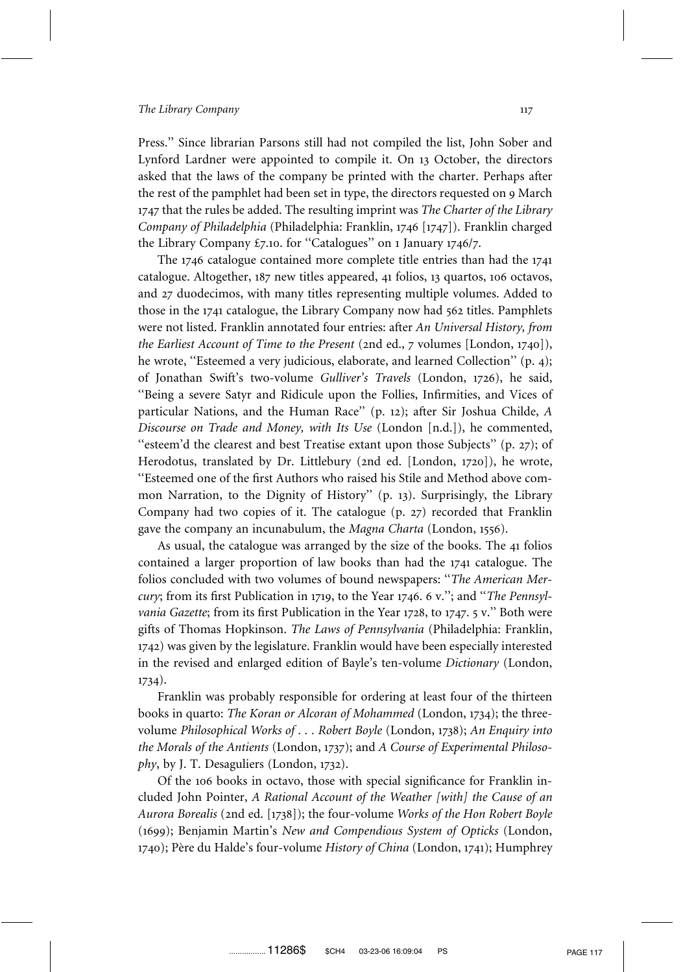Press.'' Since librarian Parsons still had not compiled the list, John Sober and Lynford Lardner were appointed to compile it. On 13 October, the directors asked that the laws of the company be printed with the charter. Perhaps after the rest of the pamphlet had been set in type, the directors requested on 9 March 1747 that the rules be added. The resulting imprint was *The Charter of the Library Company of Philadelphia* (Philadelphia: Franklin, 1746 [1747]). Franklin charged the Library Company £7.10. for ''Catalogues'' on 1 January 1746/7.

The 1746 catalogue contained more complete title entries than had the 1741 catalogue. Altogether, 187 new titles appeared, 41 folios, 13 quartos, 106 octavos, and 27 duodecimos, with many titles representing multiple volumes. Added to those in the 1741 catalogue, the Library Company now had 562 titles. Pamphlets were not listed. Franklin annotated four entries: after *An Universal History, from the Earliest Account of Time to the Present* (2nd ed., 7 volumes [London, 1740]), he wrote, "Esteemed a very judicious, elaborate, and learned Collection" (p. 4); of Jonathan Swift's two-volume *Gulliver's Travels* (London, 1726), he said, ''Being a severe Satyr and Ridicule upon the Follies, Infirmities, and Vices of particular Nations, and the Human Race'' (p. 12); after Sir Joshua Childe, *A Discourse on Trade and Money, with Its Use* (London [n.d.]), he commented, "esteem'd the clearest and best Treatise extant upon those Subjects" (p. 27); of Herodotus, translated by Dr. Littlebury (2nd ed. [London, 1720]), he wrote, ''Esteemed one of the first Authors who raised his Stile and Method above common Narration, to the Dignity of History'' (p. 13). Surprisingly, the Library Company had two copies of it. The catalogue (p. 27) recorded that Franklin gave the company an incunabulum, the *Magna Charta* (London, 1556).

As usual, the catalogue was arranged by the size of the books. The 41 folios contained a larger proportion of law books than had the 1741 catalogue. The folios concluded with two volumes of bound newspapers: ''*The American Mercury*; from its first Publication in 1719, to the Year 1746. 6 v.''; and ''*The Pennsylvania Gazette*; from its first Publication in the Year 1728, to 1747. 5 v.'' Both were gifts of Thomas Hopkinson. *The Laws of Pennsylvania* (Philadelphia: Franklin, 1742) was given by the legislature. Franklin would have been especially interested in the revised and enlarged edition of Bayle's ten-volume *Dictionary* (London, 1734).

Franklin was probably responsible for ordering at least four of the thirteen books in quarto: *The Koran or Alcoran of Mohammed* (London, 1734); the threevolume *Philosophical Works of . . . Robert Boyle* (London, 1738); *An Enquiry into the Morals of the Antients* (London, 1737); and *A Course of Experimental Philosophy*, by J. T. Desaguliers (London, 1732).

Of the 106 books in octavo, those with special significance for Franklin included John Pointer, *A Rational Account of the Weather [with] the Cause of an Aurora Borealis* (2nd ed. [1738]); the four-volume *Works of the Hon Robert Boyle* (1699); Benjamin Martin's *New and Compendious System of Opticks* (London, 1740); Père du Halde's four-volume *History of China* (London, 1741); Humphrey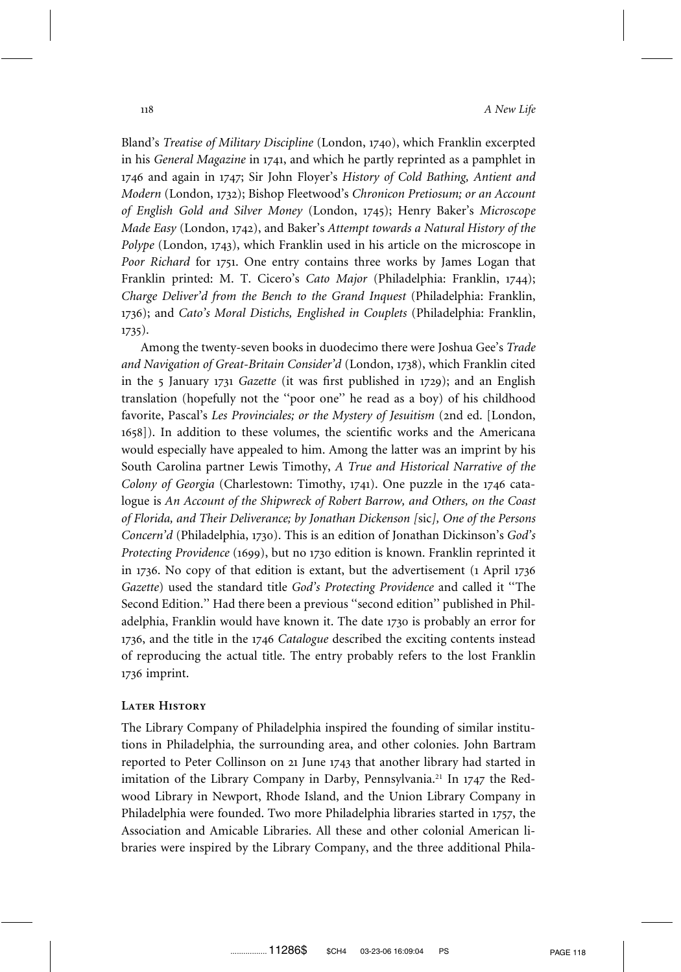Bland's *Treatise of Military Discipline* (London, 1740), which Franklin excerpted in his *General Magazine* in 1741, and which he partly reprinted as a pamphlet in 1746 and again in 1747; Sir John Floyer's *History of Cold Bathing, Antient and Modern* (London, 1732); Bishop Fleetwood's *Chronicon Pretiosum; or an Account of English Gold and Silver Money* (London, 1745); Henry Baker's *Microscope Made Easy* (London, 1742), and Baker's *Attempt towards a Natural History of the Polype* (London, 1743), which Franklin used in his article on the microscope in *Poor Richard* for 1751. One entry contains three works by James Logan that Franklin printed: M. T. Cicero's *Cato Major* (Philadelphia: Franklin, 1744); *Charge Deliver'd from the Bench to the Grand Inquest* (Philadelphia: Franklin, 1736); and *Cato's Moral Distichs, Englished in Couplets* (Philadelphia: Franklin, 1735).

Among the twenty-seven books in duodecimo there were Joshua Gee's *Trade and Navigation of Great-Britain Consider'd* (London, 1738), which Franklin cited in the 5 January 1731 *Gazette* (it was first published in 1729); and an English translation (hopefully not the ''poor one'' he read as a boy) of his childhood favorite, Pascal's *Les Provinciales; or the Mystery of Jesuitism* (2nd ed. [London, 1658]). In addition to these volumes, the scientific works and the Americana would especially have appealed to him. Among the latter was an imprint by his South Carolina partner Lewis Timothy, *A True and Historical Narrative of the Colony of Georgia* (Charlestown: Timothy, 1741). One puzzle in the 1746 catalogue is *An Account of the Shipwreck of Robert Barrow, and Others, on the Coast of Florida, and Their Deliverance; by Jonathan Dickenson [*sic*], One of the Persons Concern'd* (Philadelphia, 1730). This is an edition of Jonathan Dickinson's *God's Protecting Providence* (1699), but no 1730 edition is known. Franklin reprinted it in 1736. No copy of that edition is extant, but the advertisement (1 April 1736 *Gazette*) used the standard title *God's Protecting Providence* and called it ''The Second Edition.'' Had there been a previous ''second edition'' published in Philadelphia, Franklin would have known it. The date 1730 is probably an error for 1736, and the title in the 1746 *Catalogue* described the exciting contents instead of reproducing the actual title. The entry probably refers to the lost Franklin 1736 imprint.

# **Later History**

The Library Company of Philadelphia inspired the founding of similar institutions in Philadelphia, the surrounding area, and other colonies. John Bartram reported to Peter Collinson on 21 June 1743 that another library had started in imitation of the Library Company in Darby, Pennsylvania.<sup>21</sup> In 1747 the Redwood Library in Newport, Rhode Island, and the Union Library Company in Philadelphia were founded. Two more Philadelphia libraries started in 1757, the Association and Amicable Libraries. All these and other colonial American libraries were inspired by the Library Company, and the three additional Phila-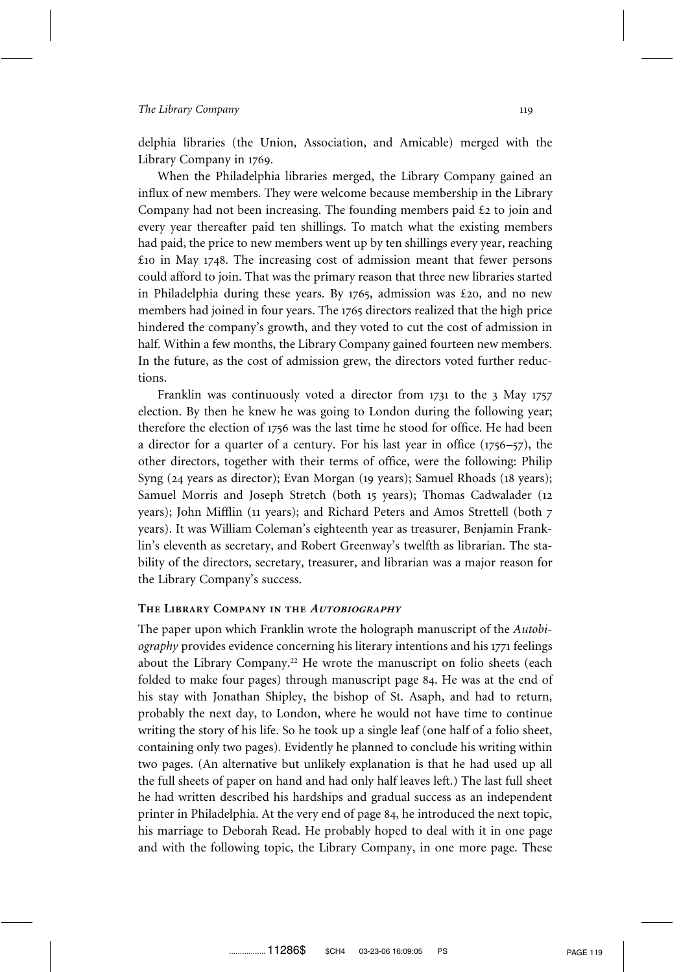delphia libraries (the Union, Association, and Amicable) merged with the Library Company in 1769.

When the Philadelphia libraries merged, the Library Company gained an influx of new members. They were welcome because membership in the Library Company had not been increasing. The founding members paid £2 to join and every year thereafter paid ten shillings. To match what the existing members had paid, the price to new members went up by ten shillings every year, reaching £10 in May 1748. The increasing cost of admission meant that fewer persons could afford to join. That was the primary reason that three new libraries started in Philadelphia during these years. By 1765, admission was £20, and no new members had joined in four years. The 1765 directors realized that the high price hindered the company's growth, and they voted to cut the cost of admission in half. Within a few months, the Library Company gained fourteen new members. In the future, as the cost of admission grew, the directors voted further reductions.

Franklin was continuously voted a director from 1731 to the 3 May 1757 election. By then he knew he was going to London during the following year; therefore the election of 1756 was the last time he stood for office. He had been a director for a quarter of a century. For his last year in office (1756–57), the other directors, together with their terms of office, were the following: Philip Syng (24 years as director); Evan Morgan (19 years); Samuel Rhoads (18 years); Samuel Morris and Joseph Stretch (both 15 years); Thomas Cadwalader (12 years); John Mifflin (11 years); and Richard Peters and Amos Strettell (both 7 years). It was William Coleman's eighteenth year as treasurer, Benjamin Franklin's eleventh as secretary, and Robert Greenway's twelfth as librarian. The stability of the directors, secretary, treasurer, and librarian was a major reason for the Library Company's success.

# **The Library Company in the <sup>A</sup>utobiography**

The paper upon which Franklin wrote the holograph manuscript of the *Autobiography* provides evidence concerning his literary intentions and his 1771 feelings about the Library Company.<sup>22</sup> He wrote the manuscript on folio sheets (each folded to make four pages) through manuscript page 84. He was at the end of his stay with Jonathan Shipley, the bishop of St. Asaph, and had to return, probably the next day, to London, where he would not have time to continue writing the story of his life. So he took up a single leaf (one half of a folio sheet, containing only two pages). Evidently he planned to conclude his writing within two pages. (An alternative but unlikely explanation is that he had used up all the full sheets of paper on hand and had only half leaves left.) The last full sheet he had written described his hardships and gradual success as an independent printer in Philadelphia. At the very end of page 84, he introduced the next topic, his marriage to Deborah Read. He probably hoped to deal with it in one page and with the following topic, the Library Company, in one more page. These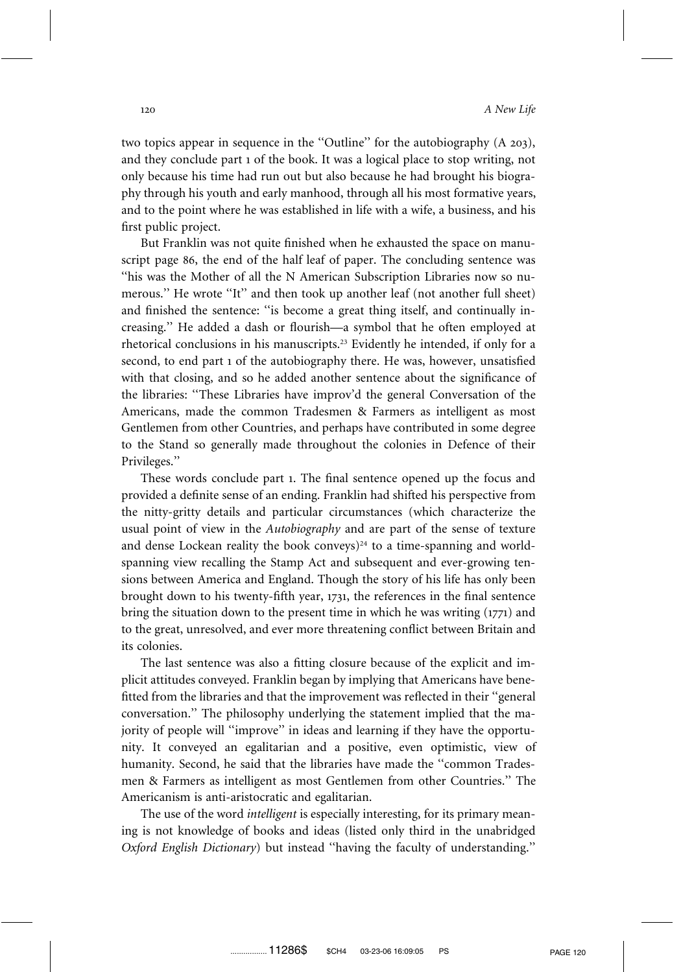two topics appear in sequence in the ''Outline'' for the autobiography (A 203), and they conclude part 1 of the book. It was a logical place to stop writing, not only because his time had run out but also because he had brought his biography through his youth and early manhood, through all his most formative years, and to the point where he was established in life with a wife, a business, and his first public project.

But Franklin was not quite finished when he exhausted the space on manuscript page 86, the end of the half leaf of paper. The concluding sentence was "his was the Mother of all the N American Subscription Libraries now so numerous.'' He wrote ''It'' and then took up another leaf (not another full sheet) and finished the sentence: ''is become a great thing itself, and continually increasing.'' He added a dash or flourish—a symbol that he often employed at rhetorical conclusions in his manuscripts.23 Evidently he intended, if only for a second, to end part 1 of the autobiography there. He was, however, unsatisfied with that closing, and so he added another sentence about the significance of the libraries: ''These Libraries have improv'd the general Conversation of the Americans, made the common Tradesmen & Farmers as intelligent as most Gentlemen from other Countries, and perhaps have contributed in some degree to the Stand so generally made throughout the colonies in Defence of their Privileges.''

These words conclude part 1. The final sentence opened up the focus and provided a definite sense of an ending. Franklin had shifted his perspective from the nitty-gritty details and particular circumstances (which characterize the usual point of view in the *Autobiography* and are part of the sense of texture and dense Lockean reality the book conveys) $24$  to a time-spanning and worldspanning view recalling the Stamp Act and subsequent and ever-growing tensions between America and England. Though the story of his life has only been brought down to his twenty-fifth year, 1731, the references in the final sentence bring the situation down to the present time in which he was writing (1771) and to the great, unresolved, and ever more threatening conflict between Britain and its colonies.

The last sentence was also a fitting closure because of the explicit and implicit attitudes conveyed. Franklin began by implying that Americans have benefitted from the libraries and that the improvement was reflected in their ''general conversation.'' The philosophy underlying the statement implied that the majority of people will "improve" in ideas and learning if they have the opportunity. It conveyed an egalitarian and a positive, even optimistic, view of humanity. Second, he said that the libraries have made the ''common Tradesmen & Farmers as intelligent as most Gentlemen from other Countries.'' The Americanism is anti-aristocratic and egalitarian.

The use of the word *intelligent* is especially interesting, for its primary meaning is not knowledge of books and ideas (listed only third in the unabridged *Oxford English Dictionary*) but instead ''having the faculty of understanding.''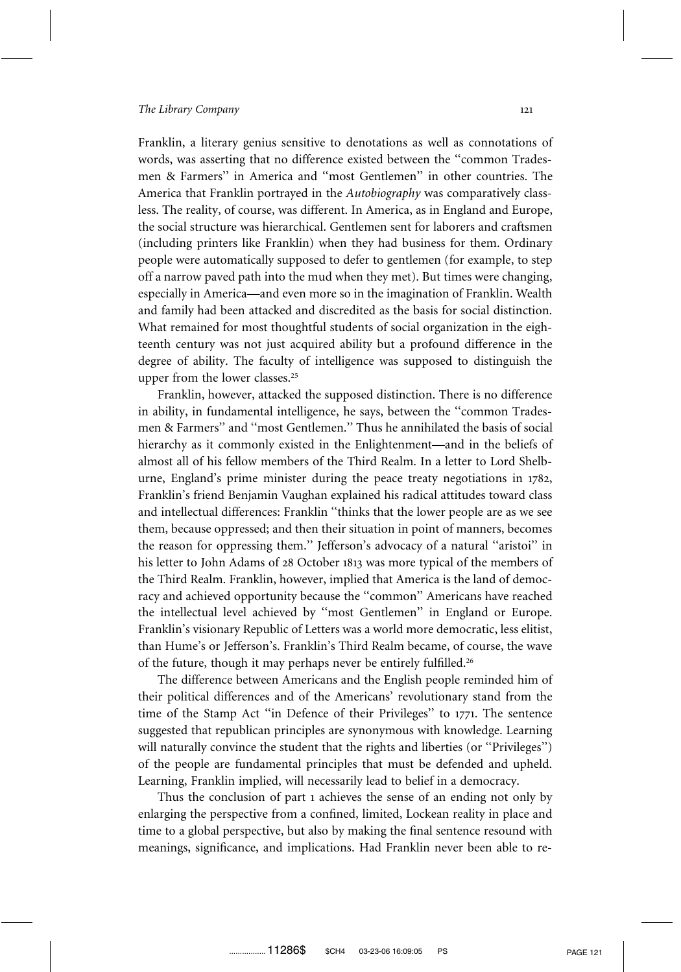Franklin, a literary genius sensitive to denotations as well as connotations of words, was asserting that no difference existed between the ''common Tradesmen & Farmers'' in America and ''most Gentlemen'' in other countries. The America that Franklin portrayed in the *Autobiography* was comparatively classless. The reality, of course, was different. In America, as in England and Europe, the social structure was hierarchical. Gentlemen sent for laborers and craftsmen (including printers like Franklin) when they had business for them. Ordinary people were automatically supposed to defer to gentlemen (for example, to step off a narrow paved path into the mud when they met). But times were changing, especially in America—and even more so in the imagination of Franklin. Wealth and family had been attacked and discredited as the basis for social distinction. What remained for most thoughtful students of social organization in the eighteenth century was not just acquired ability but a profound difference in the degree of ability. The faculty of intelligence was supposed to distinguish the upper from the lower classes.25

Franklin, however, attacked the supposed distinction. There is no difference in ability, in fundamental intelligence, he says, between the ''common Tradesmen & Farmers'' and ''most Gentlemen.'' Thus he annihilated the basis of social hierarchy as it commonly existed in the Enlightenment—and in the beliefs of almost all of his fellow members of the Third Realm. In a letter to Lord Shelburne, England's prime minister during the peace treaty negotiations in 1782, Franklin's friend Benjamin Vaughan explained his radical attitudes toward class and intellectual differences: Franklin ''thinks that the lower people are as we see them, because oppressed; and then their situation in point of manners, becomes the reason for oppressing them.'' Jefferson's advocacy of a natural ''aristoi'' in his letter to John Adams of 28 October 1813 was more typical of the members of the Third Realm. Franklin, however, implied that America is the land of democracy and achieved opportunity because the ''common'' Americans have reached the intellectual level achieved by ''most Gentlemen'' in England or Europe. Franklin's visionary Republic of Letters was a world more democratic, less elitist, than Hume's or Jefferson's. Franklin's Third Realm became, of course, the wave of the future, though it may perhaps never be entirely fulfilled.<sup>26</sup>

The difference between Americans and the English people reminded him of their political differences and of the Americans' revolutionary stand from the time of the Stamp Act ''in Defence of their Privileges'' to 1771. The sentence suggested that republican principles are synonymous with knowledge. Learning will naturally convince the student that the rights and liberties (or ''Privileges'') of the people are fundamental principles that must be defended and upheld. Learning, Franklin implied, will necessarily lead to belief in a democracy.

Thus the conclusion of part 1 achieves the sense of an ending not only by enlarging the perspective from a confined, limited, Lockean reality in place and time to a global perspective, but also by making the final sentence resound with meanings, significance, and implications. Had Franklin never been able to re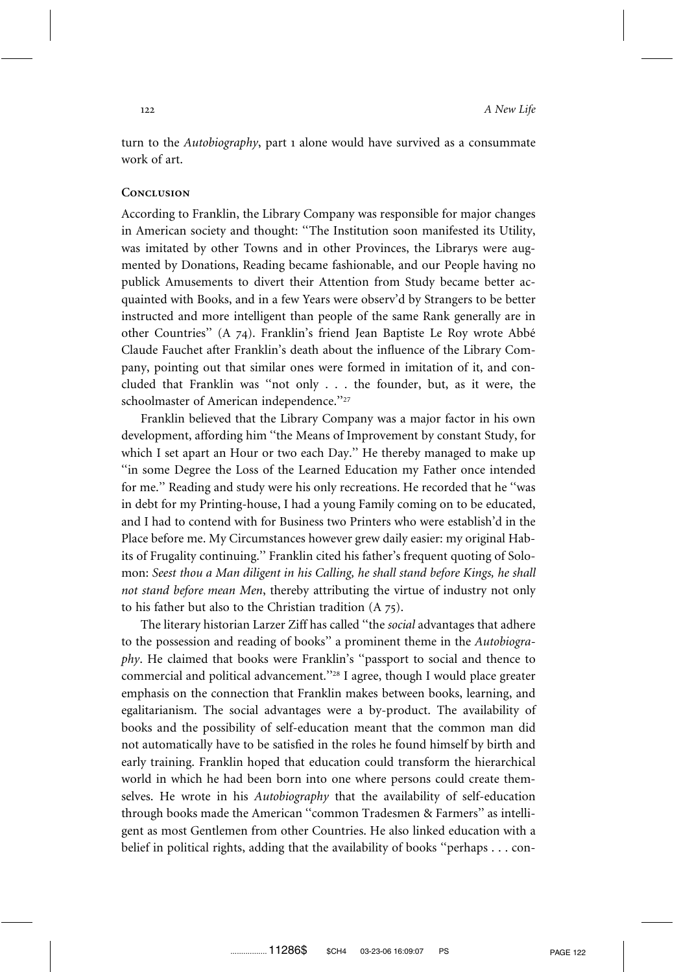turn to the *Autobiography*, part 1 alone would have survived as a consummate work of art.

## **Conclusion**

According to Franklin, the Library Company was responsible for major changes in American society and thought: ''The Institution soon manifested its Utility, was imitated by other Towns and in other Provinces, the Librarys were augmented by Donations, Reading became fashionable, and our People having no publick Amusements to divert their Attention from Study became better acquainted with Books, and in a few Years were observ'd by Strangers to be better instructed and more intelligent than people of the same Rank generally are in other Countries'' (A 74). Franklin's friend Jean Baptiste Le Roy wrote Abbe´ Claude Fauchet after Franklin's death about the influence of the Library Company, pointing out that similar ones were formed in imitation of it, and concluded that Franklin was ''not only . . . the founder, but, as it were, the schoolmaster of American independence.''27

Franklin believed that the Library Company was a major factor in his own development, affording him ''the Means of Improvement by constant Study, for which I set apart an Hour or two each Day.'' He thereby managed to make up ''in some Degree the Loss of the Learned Education my Father once intended for me.'' Reading and study were his only recreations. He recorded that he ''was in debt for my Printing-house, I had a young Family coming on to be educated, and I had to contend with for Business two Printers who were establish'd in the Place before me. My Circumstances however grew daily easier: my original Habits of Frugality continuing.'' Franklin cited his father's frequent quoting of Solomon: *Seest thou a Man diligent in his Calling, he shall stand before Kings, he shall not stand before mean Men*, thereby attributing the virtue of industry not only to his father but also to the Christian tradition (A 75).

The literary historian Larzer Ziff has called ''the *social* advantages that adhere to the possession and reading of books'' a prominent theme in the *Autobiography*. He claimed that books were Franklin's ''passport to social and thence to commercial and political advancement.''28 I agree, though I would place greater emphasis on the connection that Franklin makes between books, learning, and egalitarianism. The social advantages were a by-product. The availability of books and the possibility of self-education meant that the common man did not automatically have to be satisfied in the roles he found himself by birth and early training. Franklin hoped that education could transform the hierarchical world in which he had been born into one where persons could create themselves. He wrote in his *Autobiography* that the availability of self-education through books made the American ''common Tradesmen & Farmers'' as intelligent as most Gentlemen from other Countries. He also linked education with a belief in political rights, adding that the availability of books ''perhaps . . . con-